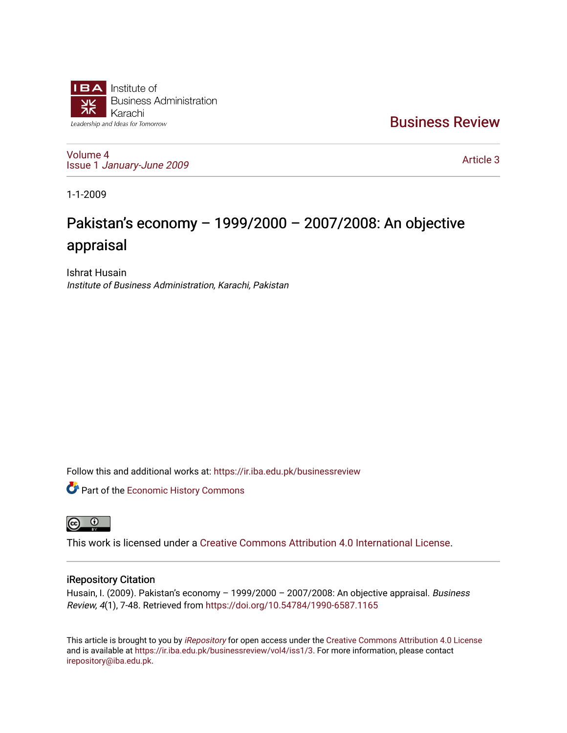

[Business Review](https://ir.iba.edu.pk/businessreview) 

[Volume 4](https://ir.iba.edu.pk/businessreview/vol4) Issue 1 [January-June 2009](https://ir.iba.edu.pk/businessreview/vol4/iss1) 

[Article 3](https://ir.iba.edu.pk/businessreview/vol4/iss1/3) 

1-1-2009

# Pakistan's economy – 1999/2000 – 2007/2008: An objective appraisal

Ishrat Husain Institute of Business Administration, Karachi, Pakistan

Follow this and additional works at: [https://ir.iba.edu.pk/businessreview](https://ir.iba.edu.pk/businessreview?utm_source=ir.iba.edu.pk%2Fbusinessreview%2Fvol4%2Fiss1%2F3&utm_medium=PDF&utm_campaign=PDFCoverPages) 

**Part of the [Economic History Commons](http://network.bepress.com/hgg/discipline/343?utm_source=ir.iba.edu.pk%2Fbusinessreview%2Fvol4%2Fiss1%2F3&utm_medium=PDF&utm_campaign=PDFCoverPages)** 



This work is licensed under a [Creative Commons Attribution 4.0 International License](https://creativecommons.org/licenses/by/4.0/).

## iRepository Citation

Husain, I. (2009). Pakistan's economy - 1999/2000 - 2007/2008: An objective appraisal. Business Review, 4(1), 7-48. Retrieved from<https://doi.org/10.54784/1990-6587.1165>

This article is brought to you by [iRepository](https://ir.iba.edu.pk/) for open access under the Creative Commons Attribution 4.0 License and is available at [https://ir.iba.edu.pk/businessreview/vol4/iss1/3.](https://ir.iba.edu.pk/businessreview/vol4/iss1/3) For more information, please contact [irepository@iba.edu.pk.](mailto:irepository@iba.edu.pk)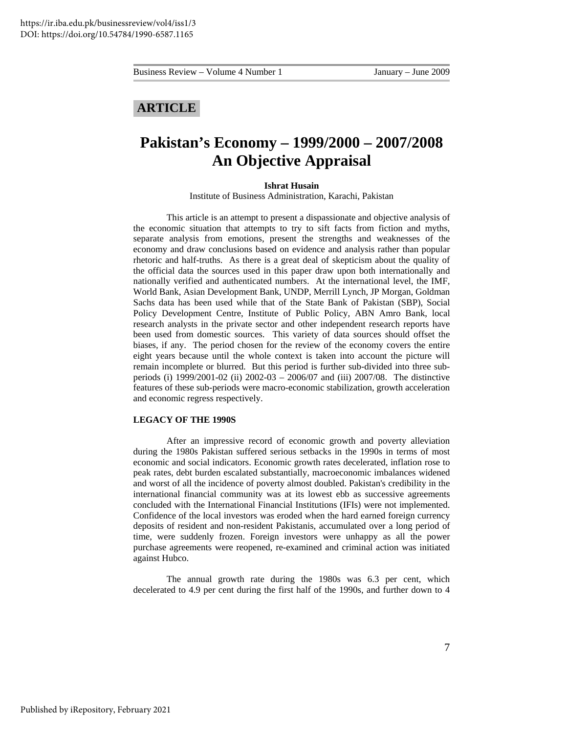## **ARTICLE**

## **Pakistan's Economy – 1999/2000 – 2007/2008 An Objective Appraisal**

#### **Ishrat Husain**

Institute of Business Administration, Karachi, Pakistan

This article is an attempt to present a dispassionate and objective analysis of the economic situation that attempts to try to sift facts from fiction and myths, separate analysis from emotions, present the strengths and weaknesses of the economy and draw conclusions based on evidence and analysis rather than popular rhetoric and half-truths. As there is a great deal of skepticism about the quality of the official data the sources used in this paper draw upon both internationally and nationally verified and authenticated numbers. At the international level, the IMF, World Bank, Asian Development Bank, UNDP, Merrill Lynch, JP Morgan, Goldman Sachs data has been used while that of the State Bank of Pakistan (SBP), Social Policy Development Centre, Institute of Public Policy, ABN Amro Bank, local research analysts in the private sector and other independent research reports have been used from domestic sources. This variety of data sources should offset the biases, if any. The period chosen for the review of the economy covers the entire eight years because until the whole context is taken into account the picture will remain incomplete or blurred. But this period is further sub-divided into three subperiods (i) 1999/2001-02 (ii) 2002-03 – 2006/07 and (iii) 2007/08. The distinctive features of these sub-periods were macro-economic stabilization, growth acceleration and economic regress respectively.

#### **LEGACY OF THE 1990S**

After an impressive record of economic growth and poverty alleviation during the 1980s Pakistan suffered serious setbacks in the 1990s in terms of most economic and social indicators. Economic growth rates decelerated, inflation rose to peak rates, debt burden escalated substantially, macroeconomic imbalances widened and worst of all the incidence of poverty almost doubled. Pakistan's credibility in the international financial community was at its lowest ebb as successive agreements concluded with the International Financial Institutions (IFIs) were not implemented. Confidence of the local investors was eroded when the hard earned foreign currency deposits of resident and non-resident Pakistanis, accumulated over a long period of time, were suddenly frozen. Foreign investors were unhappy as all the power purchase agreements were reopened, re-examined and criminal action was initiated against Hubco.

The annual growth rate during the 1980s was 6.3 per cent, which decelerated to 4.9 per cent during the first half of the 1990s, and further down to 4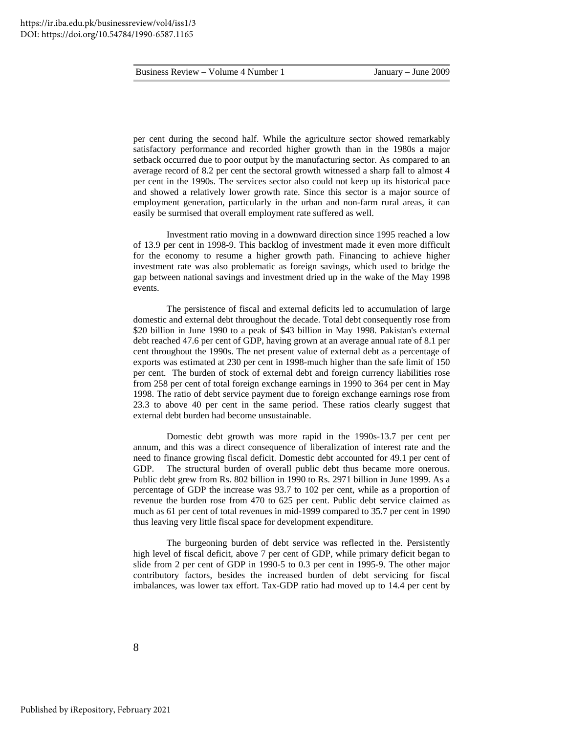per cent during the second half. While the agriculture sector showed remarkably satisfactory performance and recorded higher growth than in the 1980s a major setback occurred due to poor output by the manufacturing sector. As compared to an average record of 8.2 per cent the sectoral growth witnessed a sharp fall to almost 4 per cent in the 1990s. The services sector also could not keep up its historical pace and showed a relatively lower growth rate. Since this sector is a major source of employment generation, particularly in the urban and non-farm rural areas, it can easily be surmised that overall employment rate suffered as well.

Investment ratio moving in a downward direction since 1995 reached a low of 13.9 per cent in 1998-9. This backlog of investment made it even more difficult for the economy to resume a higher growth path. Financing to achieve higher investment rate was also problematic as foreign savings, which used to bridge the gap between national savings and investment dried up in the wake of the May 1998 events.

The persistence of fiscal and external deficits led to accumulation of large domestic and external debt throughout the decade. Total debt consequently rose from \$20 billion in June 1990 to a peak of \$43 billion in May 1998. Pakistan's external debt reached 47.6 per cent of GDP, having grown at an average annual rate of 8.1 per cent throughout the 1990s. The net present value of external debt as a percentage of exports was estimated at 230 per cent in 1998-much higher than the safe limit of 150 per cent. The burden of stock of external debt and foreign currency liabilities rose from 258 per cent of total foreign exchange earnings in 1990 to 364 per cent in May 1998. The ratio of debt service payment due to foreign exchange earnings rose from 23.3 to above 40 per cent in the same period. These ratios clearly suggest that external debt burden had become unsustainable.

 Domestic debt growth was more rapid in the 1990s-13.7 per cent per annum, and this was a direct consequence of liberalization of interest rate and the need to finance growing fiscal deficit. Domestic debt accounted for 49.1 per cent of GDP. The structural burden of overall public debt thus became more onerous. Public debt grew from Rs. 802 billion in 1990 to Rs. 2971 billion in June 1999. As a percentage of GDP the increase was 93.7 to 102 per cent, while as a proportion of revenue the burden rose from 470 to 625 per cent. Public debt service claimed as much as 61 per cent of total revenues in mid-1999 compared to 35.7 per cent in 1990 thus leaving very little fiscal space for development expenditure.

 The burgeoning burden of debt service was reflected in the. Persistently high level of fiscal deficit, above 7 per cent of GDP, while primary deficit began to slide from 2 per cent of GDP in 1990-5 to 0.3 per cent in 1995-9. The other major contributory factors, besides the increased burden of debt servicing for fiscal imbalances, was lower tax effort. Tax-GDP ratio had moved up to 14.4 per cent by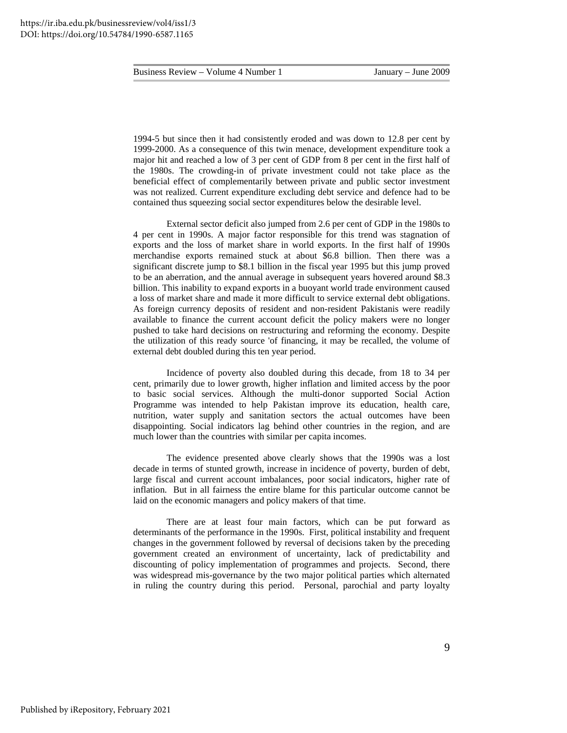1994-5 but since then it had consistently eroded and was down to 12.8 per cent by 1999-2000. As a consequence of this twin menace, development expenditure took a major hit and reached a low of 3 per cent of GDP from 8 per cent in the first half of the 1980s. The crowding-in of private investment could not take place as the beneficial effect of complementarily between private and public sector investment was not realized. Current expenditure excluding debt service and defence had to be contained thus squeezing social sector expenditures below the desirable level.

External sector deficit also jumped from 2.6 per cent of GDP in the 1980s to 4 per cent in 1990s. A major factor responsible for this trend was stagnation of exports and the loss of market share in world exports. In the first half of 1990s merchandise exports remained stuck at about \$6.8 billion. Then there was a significant discrete jump to \$8.1 billion in the fiscal year 1995 but this jump proved to be an aberration, and the annual average in subsequent years hovered around \$8.3 billion. This inability to expand exports in a buoyant world trade environment caused a loss of market share and made it more difficult to service external debt obligations. As foreign currency deposits of resident and non-resident Pakistanis were readily available to finance the current account deficit the policy makers were no longer pushed to take hard decisions on restructuring and reforming the economy. Despite the utilization of this ready source 'of financing, it may be recalled, the volume of external debt doubled during this ten year period.

Incidence of poverty also doubled during this decade, from 18 to 34 per cent, primarily due to lower growth, higher inflation and limited access by the poor to basic social services. Although the multi-donor supported Social Action Programme was intended to help Pakistan improve its education, health care, nutrition, water supply and sanitation sectors the actual outcomes have been disappointing. Social indicators lag behind other countries in the region, and are much lower than the countries with similar per capita incomes.

 The evidence presented above clearly shows that the 1990s was a lost decade in terms of stunted growth, increase in incidence of poverty, burden of debt, large fiscal and current account imbalances, poor social indicators, higher rate of inflation. But in all fairness the entire blame for this particular outcome cannot be laid on the economic managers and policy makers of that time.

 There are at least four main factors, which can be put forward as determinants of the performance in the 1990s. First, political instability and frequent changes in the government followed by reversal of decisions taken by the preceding government created an environment of uncertainty, lack of predictability and discounting of policy implementation of programmes and projects. Second, there was widespread mis-governance by the two major political parties which alternated in ruling the country during this period. Personal, parochial and party loyalty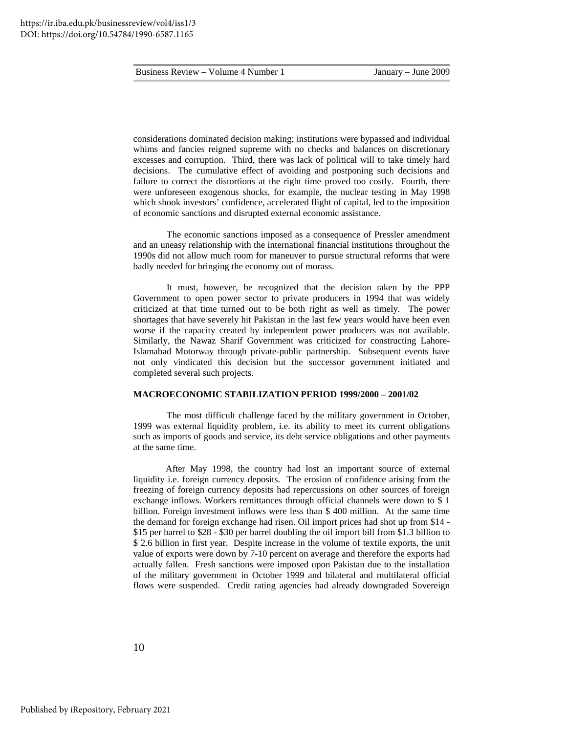considerations dominated decision making; institutions were bypassed and individual whims and fancies reigned supreme with no checks and balances on discretionary excesses and corruption. Third, there was lack of political will to take timely hard decisions. The cumulative effect of avoiding and postponing such decisions and failure to correct the distortions at the right time proved too costly. Fourth, there were unforeseen exogenous shocks, for example, the nuclear testing in May 1998 which shook investors' confidence, accelerated flight of capital, led to the imposition of economic sanctions and disrupted external economic assistance.

 The economic sanctions imposed as a consequence of Pressler amendment and an uneasy relationship with the international financial institutions throughout the 1990s did not allow much room for maneuver to pursue structural reforms that were badly needed for bringing the economy out of morass.

 It must, however, be recognized that the decision taken by the PPP Government to open power sector to private producers in 1994 that was widely criticized at that time turned out to be both right as well as timely. The power shortages that have severely hit Pakistan in the last few years would have been even worse if the capacity created by independent power producers was not available. Similarly, the Nawaz Sharif Government was criticized for constructing Lahore-Islamabad Motorway through private-public partnership. Subsequent events have not only vindicated this decision but the successor government initiated and completed several such projects.

#### **MACROECONOMIC STABILIZATION PERIOD 1999/2000 – 2001/02**

 The most difficult challenge faced by the military government in October, 1999 was external liquidity problem, i.e. its ability to meet its current obligations such as imports of goods and service, its debt service obligations and other payments at the same time.

 After May 1998, the country had lost an important source of external liquidity i.e. foreign currency deposits. The erosion of confidence arising from the freezing of foreign currency deposits had repercussions on other sources of foreign exchange inflows. Workers remittances through official channels were down to \$ 1 billion. Foreign investment inflows were less than \$ 400 million. At the same time the demand for foreign exchange had risen. Oil import prices had shot up from \$14 - \$15 per barrel to \$28 - \$30 per barrel doubling the oil import bill from \$1.3 billion to \$ 2.6 billion in first year. Despite increase in the volume of textile exports, the unit value of exports were down by 7-10 percent on average and therefore the exports had actually fallen. Fresh sanctions were imposed upon Pakistan due to the installation of the military government in October 1999 and bilateral and multilateral official flows were suspended. Credit rating agencies had already downgraded Sovereign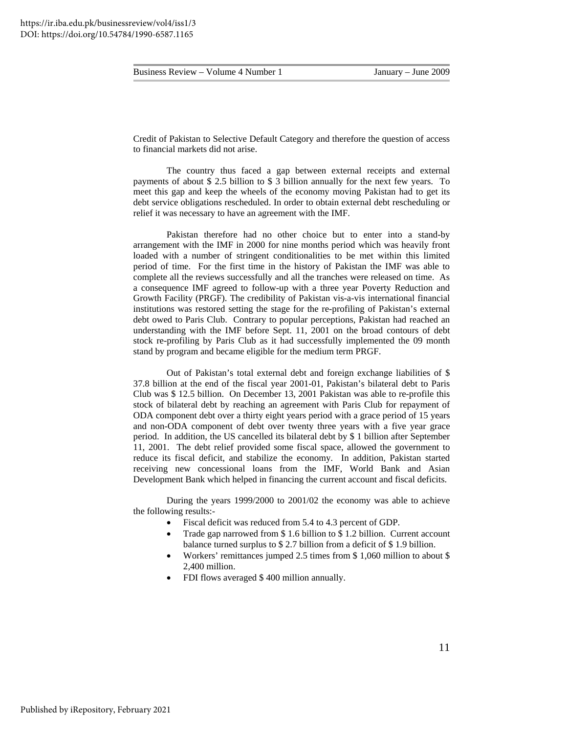Credit of Pakistan to Selective Default Category and therefore the question of access to financial markets did not arise.

 The country thus faced a gap between external receipts and external payments of about \$ 2.5 billion to \$ 3 billion annually for the next few years. To meet this gap and keep the wheels of the economy moving Pakistan had to get its debt service obligations rescheduled. In order to obtain external debt rescheduling or relief it was necessary to have an agreement with the IMF.

 Pakistan therefore had no other choice but to enter into a stand-by arrangement with the IMF in 2000 for nine months period which was heavily front loaded with a number of stringent conditionalities to be met within this limited period of time. For the first time in the history of Pakistan the IMF was able to complete all the reviews successfully and all the tranches were released on time. As a consequence IMF agreed to follow-up with a three year Poverty Reduction and Growth Facility (PRGF). The credibility of Pakistan vis-a-vis international financial institutions was restored setting the stage for the re-profiling of Pakistan's external debt owed to Paris Club. Contrary to popular perceptions, Pakistan had reached an understanding with the IMF before Sept. 11, 2001 on the broad contours of debt stock re-profiling by Paris Club as it had successfully implemented the 09 month stand by program and became eligible for the medium term PRGF.

 Out of Pakistan's total external debt and foreign exchange liabilities of \$ 37.8 billion at the end of the fiscal year 2001-01, Pakistan's bilateral debt to Paris Club was \$ 12.5 billion. On December 13, 2001 Pakistan was able to re-profile this stock of bilateral debt by reaching an agreement with Paris Club for repayment of ODA component debt over a thirty eight years period with a grace period of 15 years and non-ODA component of debt over twenty three years with a five year grace period. In addition, the US cancelled its bilateral debt by \$ 1 billion after September 11, 2001. The debt relief provided some fiscal space, allowed the government to reduce its fiscal deficit, and stabilize the economy. In addition, Pakistan started receiving new concessional loans from the IMF, World Bank and Asian Development Bank which helped in financing the current account and fiscal deficits.

 During the years 1999/2000 to 2001/02 the economy was able to achieve the following results:-

- Fiscal deficit was reduced from 5.4 to 4.3 percent of GDP.
- Trade gap narrowed from \$ 1.6 billion to \$ 1.2 billion. Current account balance turned surplus to \$ 2.7 billion from a deficit of \$ 1.9 billion.
- Workers' remittances jumped 2.5 times from \$ 1,060 million to about \$ 2,400 million.
- FDI flows averaged \$ 400 million annually.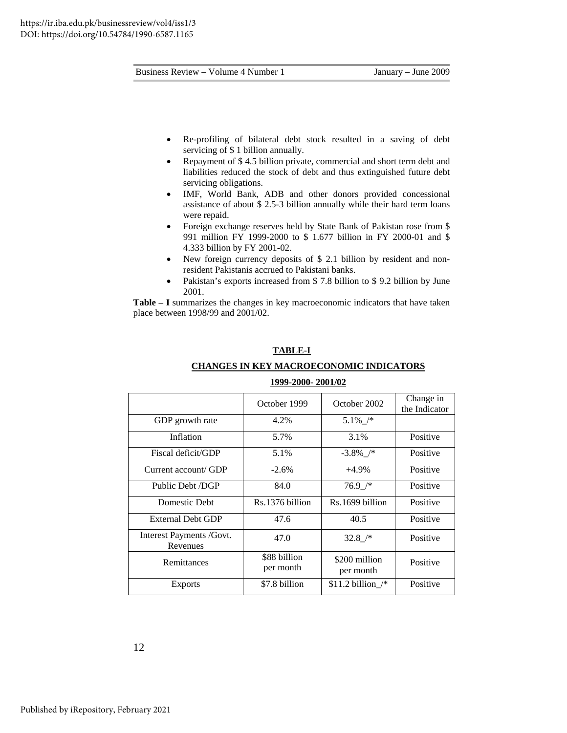- Re-profiling of bilateral debt stock resulted in a saving of debt servicing of \$ 1 billion annually.
- Repayment of \$ 4.5 billion private, commercial and short term debt and liabilities reduced the stock of debt and thus extinguished future debt servicing obligations.
- IMF, World Bank, ADB and other donors provided concessional assistance of about \$ 2.5-3 billion annually while their hard term loans were repaid.
- Foreign exchange reserves held by State Bank of Pakistan rose from \$ 991 million FY 1999-2000 to \$ 1.677 billion in FY 2000-01 and \$ 4.333 billion by FY 2001-02.
- New foreign currency deposits of \$ 2.1 billion by resident and nonresident Pakistanis accrued to Pakistani banks.
- Pakistan's exports increased from \$7.8 billion to \$9.2 billion by June 2001.

**Table – I** summarizes the changes in key macroeconomic indicators that have taken place between 1998/99 and 2001/02.

**TABLE-I**

| 1999-2000- 2001/02                   |                           |                            |                            |  |  |
|--------------------------------------|---------------------------|----------------------------|----------------------------|--|--|
|                                      | October 1999              | October 2002               | Change in<br>the Indicator |  |  |
| GDP growth rate                      | 4.2%                      | $5.1\%$ /*                 |                            |  |  |
| Inflation                            | 5.7%                      | 3.1%                       | Positive                   |  |  |
| Fiscal deficit/GDP                   | 5.1%                      | $-3.8\%$ /*                | Positive                   |  |  |
| Current account/ GDP                 | $-2.6%$                   | $+4.9%$                    | Positive                   |  |  |
| Public Debt /DGP                     | 84.0                      | $76.9$ /*                  | Positive                   |  |  |
| Domestic Debt                        | Rs.1376 billion           | Rs.1699 billion            | Positive                   |  |  |
| <b>External Debt GDP</b>             | 47.6                      | 40.5                       | Positive                   |  |  |
| Interest Payments /Govt.<br>Revenues | 47.0                      | $32.8$ /*                  | Positive                   |  |  |
| Remittances                          | \$88 billion<br>per month | \$200 million<br>per month | Positive                   |  |  |
| <b>Exports</b>                       | \$7.8 billion             | \$11.2 billion $/*$        | Positive                   |  |  |

## **CHANGES IN KEY MACROECONOMIC INDICATORS 1999-2000- 2001/02**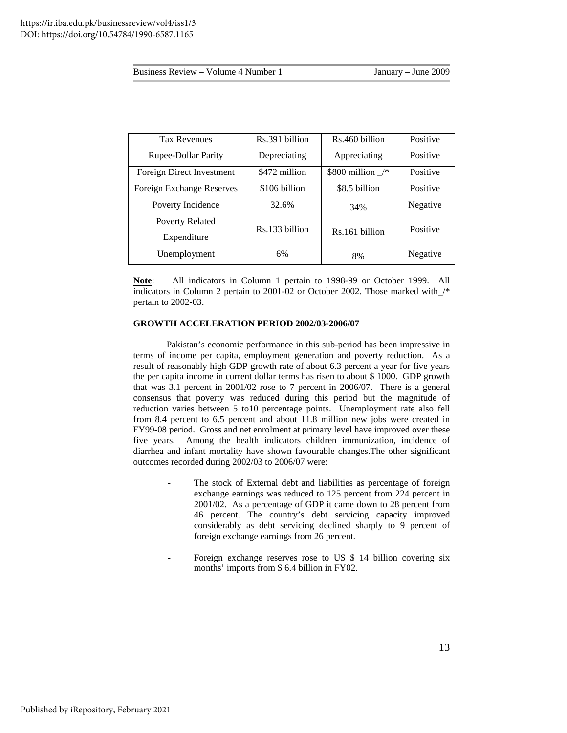| <b>June 2009</b><br>January |
|-----------------------------|
|-----------------------------|

| Business Review – Volume 4 Number 1 | January – June 2009 |
|-------------------------------------|---------------------|
|-------------------------------------|---------------------|

| <b>Tax Revenues</b>        | Rs.391 billion | Rs.460 billion     | Positive |
|----------------------------|----------------|--------------------|----------|
| <b>Rupee-Dollar Parity</b> | Depreciating   | Appreciating       | Positive |
| Foreign Direct Investment  | \$472 million  | \$800 million $/*$ | Positive |
| Foreign Exchange Reserves  | \$106 billion  | \$8.5 billion      | Positive |
| Poverty Incidence          | 32.6%          | 34%                | Negative |
| Poverty Related            | Rs.133 billion |                    | Positive |
| Expenditure                |                | Rs.161 billion     |          |
| Unemployment               | 6%             | 8%                 | Negative |

**Note**: All indicators in Column 1 pertain to 1998-99 or October 1999. All indicators in Column 2 pertain to 2001-02 or October 2002. Those marked with\_/\* pertain to 2002-03.

#### **GROWTH ACCELERATION PERIOD 2002/03-2006/07**

 Pakistan's economic performance in this sub-period has been impressive in terms of income per capita, employment generation and poverty reduction. As a result of reasonably high GDP growth rate of about 6.3 percent a year for five years the per capita income in current dollar terms has risen to about \$ 1000. GDP growth that was 3.1 percent in 2001/02 rose to 7 percent in 2006/07. There is a general consensus that poverty was reduced during this period but the magnitude of reduction varies between 5 to10 percentage points. Unemployment rate also fell from 8.4 percent to 6.5 percent and about 11.8 million new jobs were created in FY99-08 period. Gross and net enrolment at primary level have improved over these five years. Among the health indicators children immunization, incidence of diarrhea and infant mortality have shown favourable changes.The other significant outcomes recorded during 2002/03 to 2006/07 were:

- The stock of External debt and liabilities as percentage of foreign exchange earnings was reduced to 125 percent from 224 percent in 2001/02. As a percentage of GDP it came down to 28 percent from 46 percent. The country's debt servicing capacity improved considerably as debt servicing declined sharply to 9 percent of foreign exchange earnings from 26 percent.
- Foreign exchange reserves rose to US \$ 14 billion covering six months' imports from \$ 6.4 billion in FY02.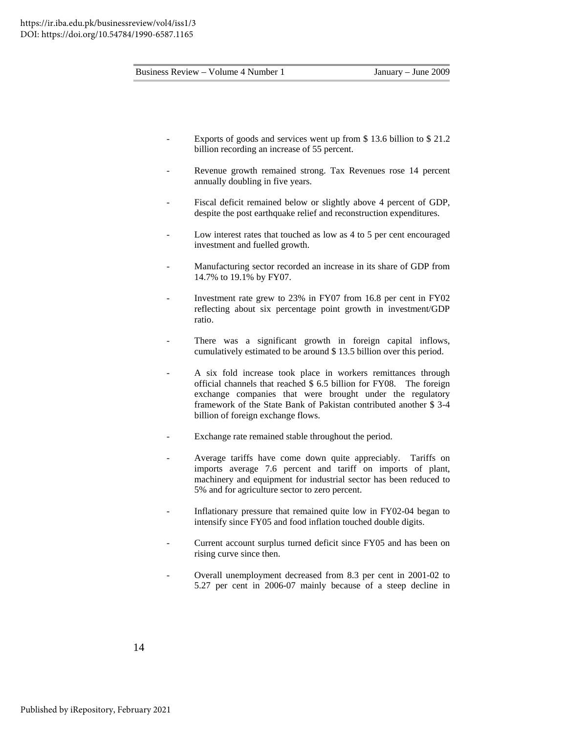- Exports of goods and services went up from \$13.6 billion to \$21.2 billion recording an increase of 55 percent.
- Revenue growth remained strong. Tax Revenues rose 14 percent annually doubling in five years.
- Fiscal deficit remained below or slightly above 4 percent of GDP, despite the post earthquake relief and reconstruction expenditures.
- Low interest rates that touched as low as 4 to 5 per cent encouraged investment and fuelled growth.
- Manufacturing sector recorded an increase in its share of GDP from 14.7% to 19.1% by FY07.
- Investment rate grew to 23% in FY07 from 16.8 per cent in FY02 reflecting about six percentage point growth in investment/GDP ratio.
- There was a significant growth in foreign capital inflows, cumulatively estimated to be around \$ 13.5 billion over this period.
- A six fold increase took place in workers remittances through official channels that reached \$ 6.5 billion for FY08. The foreign exchange companies that were brought under the regulatory framework of the State Bank of Pakistan contributed another \$ 3-4 billion of foreign exchange flows.
- Exchange rate remained stable throughout the period.
- Average tariffs have come down quite appreciably. Tariffs on imports average 7.6 percent and tariff on imports of plant, machinery and equipment for industrial sector has been reduced to 5% and for agriculture sector to zero percent.
- Inflationary pressure that remained quite low in FY02-04 began to intensify since FY05 and food inflation touched double digits.
- Current account surplus turned deficit since FY05 and has been on rising curve since then.
- Overall unemployment decreased from 8.3 per cent in 2001-02 to 5.27 per cent in 2006-07 mainly because of a steep decline in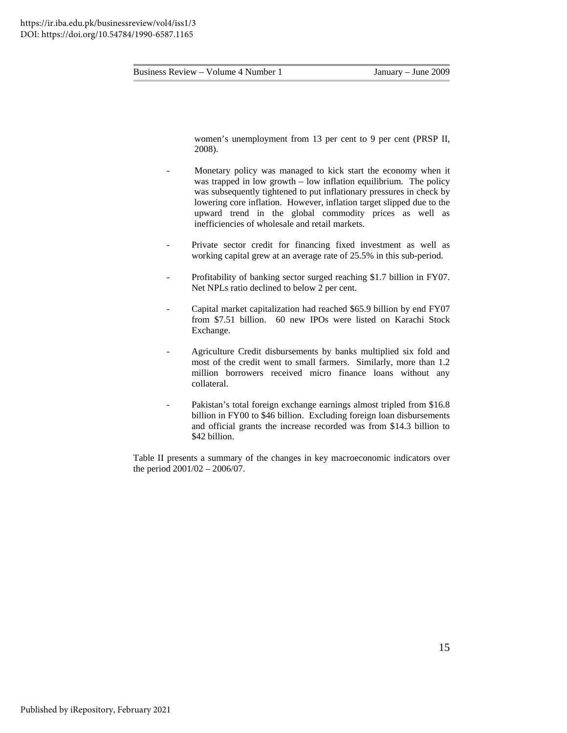women's unemployment from 13 per cent to 9 per cent (PRSP II, 2008).

- Monetary policy was managed to kick start the economy when it was trapped in low growth – low inflation equilibrium. The policy was subsequently tightened to put inflationary pressures in check by lowering core inflation. However, inflation target slipped due to the upward trend in the global commodity prices as well as inefficiencies of wholesale and retail markets.
- Private sector credit for financing fixed investment as well as working capital grew at an average rate of 25.5% in this sub-period.
- Profitability of banking sector surged reaching \$1.7 billion in FY07. Net NPLs ratio declined to below 2 per cent.
- Capital market capitalization had reached \$65.9 billion by end FY07 from \$7.51 billion. 60 new IPOs were listed on Karachi Stock Exchange.
- Agriculture Credit disbursements by banks multiplied six fold and most of the credit went to small farmers. Similarly, more than 1.2 million borrowers received micro finance loans without any collateral.
- Pakistan's total foreign exchange earnings almost tripled from \$16.8 billion in FY00 to \$46 billion. Excluding foreign loan disbursements and official grants the increase recorded was from \$14.3 billion to \$42 billion.

Table II presents a summary of the changes in key macroeconomic indicators over the period 2001/02 – 2006/07.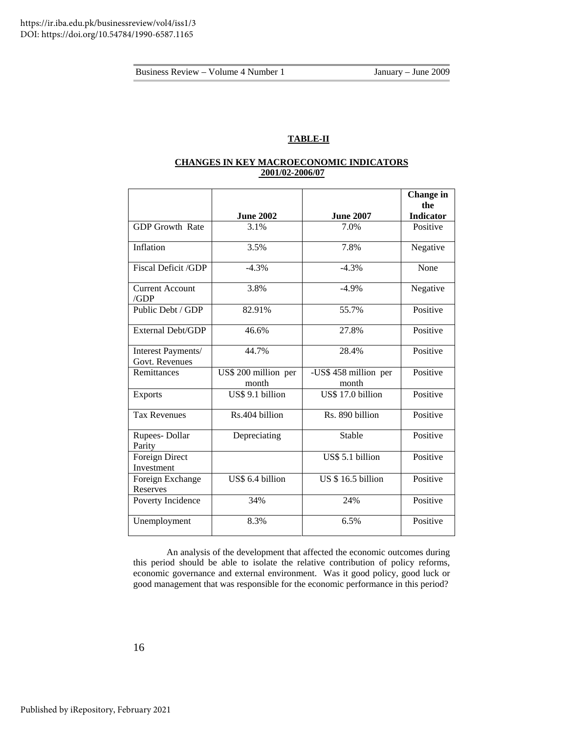## **TABLE-II**

## **CHANGES IN KEY MACROECONOMIC INDICATORS 2001/02-2006/07**

|                                      |                               |                                | Change in<br>the |
|--------------------------------------|-------------------------------|--------------------------------|------------------|
|                                      | <b>June 2002</b>              | <b>June 2007</b>               | <b>Indicator</b> |
| <b>GDP Growth Rate</b>               | 3.1%                          | 7.0%                           | Positive         |
| Inflation                            | 3.5%                          | 7.8%                           | Negative         |
| <b>Fiscal Deficit /GDP</b>           | $-4.3%$                       | $-4.3%$                        | None             |
| <b>Current Account</b><br>/GDP       | 3.8%                          | $-4.9%$                        | Negative         |
| Public Debt / GDP                    | 82.91%                        | 55.7%                          | Positive         |
| External Debt/GDP                    | 46.6%                         | 27.8%                          | Positive         |
| Interest Payments/<br>Govt. Revenues | 44.7%                         | 28.4%                          | Positive         |
| Remittances                          | US\$ 200 million per<br>month | -US\$ 458 million per<br>month | Positive         |
| <b>Exports</b>                       | US\$ 9.1 billion              | US\$ 17.0 billion              | Positive         |
| <b>Tax Revenues</b>                  | Rs.404 billion                | Rs. 890 billion                | Positive         |
| Rupees-Dollar<br>Parity              | Depreciating                  | Stable                         | Positive         |
| Foreign Direct<br>Investment         |                               | US\$ 5.1 billion               | Positive         |
| Foreign Exchange<br><b>Reserves</b>  | US\$ 6.4 billion              | <b>US \$16.5 billion</b>       | Positive         |
| Poverty Incidence                    | 34%                           | 24%                            | Positive         |
| Unemployment                         | 8.3%                          | 6.5%                           | Positive         |

 An analysis of the development that affected the economic outcomes during this period should be able to isolate the relative contribution of policy reforms, economic governance and external environment. Was it good policy, good luck or good management that was responsible for the economic performance in this period?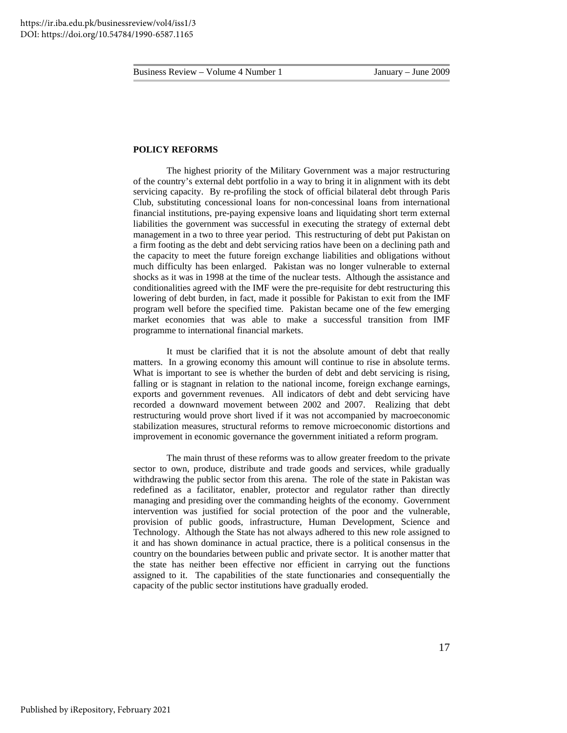#### **POLICY REFORMS**

 The highest priority of the Military Government was a major restructuring of the country's external debt portfolio in a way to bring it in alignment with its debt servicing capacity. By re-profiling the stock of official bilateral debt through Paris Club, substituting concessional loans for non-concessinal loans from international financial institutions, pre-paying expensive loans and liquidating short term external liabilities the government was successful in executing the strategy of external debt management in a two to three year period. This restructuring of debt put Pakistan on a firm footing as the debt and debt servicing ratios have been on a declining path and the capacity to meet the future foreign exchange liabilities and obligations without much difficulty has been enlarged. Pakistan was no longer vulnerable to external shocks as it was in 1998 at the time of the nuclear tests. Although the assistance and conditionalities agreed with the IMF were the pre-requisite for debt restructuring this lowering of debt burden, in fact, made it possible for Pakistan to exit from the IMF program well before the specified time. Pakistan became one of the few emerging market economies that was able to make a successful transition from IMF programme to international financial markets.

 It must be clarified that it is not the absolute amount of debt that really matters. In a growing economy this amount will continue to rise in absolute terms. What is important to see is whether the burden of debt and debt servicing is rising, falling or is stagnant in relation to the national income, foreign exchange earnings, exports and government revenues. All indicators of debt and debt servicing have recorded a downward movement between 2002 and 2007. Realizing that debt restructuring would prove short lived if it was not accompanied by macroeconomic stabilization measures, structural reforms to remove microeconomic distortions and improvement in economic governance the government initiated a reform program.

The main thrust of these reforms was to allow greater freedom to the private sector to own, produce, distribute and trade goods and services, while gradually withdrawing the public sector from this arena. The role of the state in Pakistan was redefined as a facilitator, enabler, protector and regulator rather than directly managing and presiding over the commanding heights of the economy. Government intervention was justified for social protection of the poor and the vulnerable, provision of public goods, infrastructure, Human Development, Science and Technology. Although the State has not always adhered to this new role assigned to it and has shown dominance in actual practice, there is a political consensus in the country on the boundaries between public and private sector. It is another matter that the state has neither been effective nor efficient in carrying out the functions assigned to it. The capabilities of the state functionaries and consequentially the capacity of the public sector institutions have gradually eroded.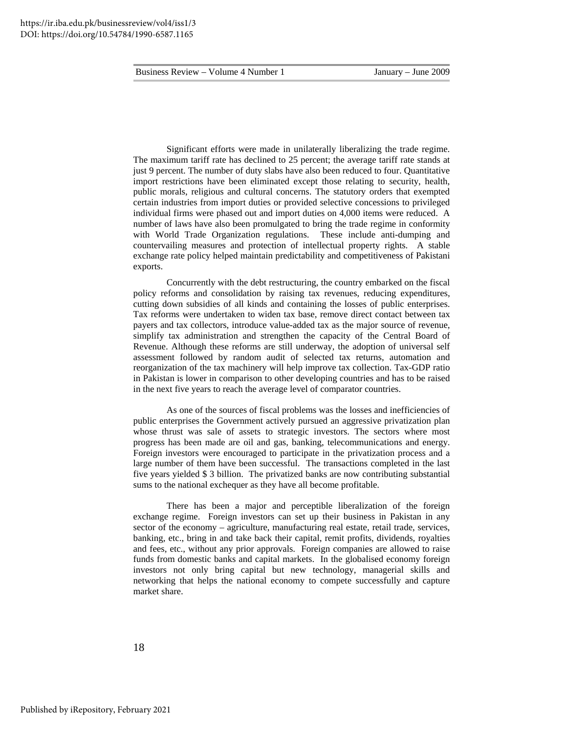Significant efforts were made in unilaterally liberalizing the trade regime. The maximum tariff rate has declined to 25 percent; the average tariff rate stands at just 9 percent. The number of duty slabs have also been reduced to four. Quantitative import restrictions have been eliminated except those relating to security, health, public morals, religious and cultural concerns. The statutory orders that exempted certain industries from import duties or provided selective concessions to privileged individual firms were phased out and import duties on 4,000 items were reduced. A number of laws have also been promulgated to bring the trade regime in conformity with World Trade Organization regulations. These include anti-dumping and countervailing measures and protection of intellectual property rights. A stable exchange rate policy helped maintain predictability and competitiveness of Pakistani exports.

 Concurrently with the debt restructuring, the country embarked on the fiscal policy reforms and consolidation by raising tax revenues, reducing expenditures, cutting down subsidies of all kinds and containing the losses of public enterprises. Tax reforms were undertaken to widen tax base, remove direct contact between tax payers and tax collectors, introduce value-added tax as the major source of revenue, simplify tax administration and strengthen the capacity of the Central Board of Revenue. Although these reforms are still underway, the adoption of universal self assessment followed by random audit of selected tax returns, automation and reorganization of the tax machinery will help improve tax collection. Tax-GDP ratio in Pakistan is lower in comparison to other developing countries and has to be raised in the next five years to reach the average level of comparator countries.

 As one of the sources of fiscal problems was the losses and inefficiencies of public enterprises the Government actively pursued an aggressive privatization plan whose thrust was sale of assets to strategic investors. The sectors where most progress has been made are oil and gas, banking, telecommunications and energy. Foreign investors were encouraged to participate in the privatization process and a large number of them have been successful. The transactions completed in the last five years yielded \$ 3 billion. The privatized banks are now contributing substantial sums to the national exchequer as they have all become profitable.

 There has been a major and perceptible liberalization of the foreign exchange regime. Foreign investors can set up their business in Pakistan in any sector of the economy – agriculture, manufacturing real estate, retail trade, services, banking, etc., bring in and take back their capital, remit profits, dividends, royalties and fees, etc., without any prior approvals. Foreign companies are allowed to raise funds from domestic banks and capital markets. In the globalised economy foreign investors not only bring capital but new technology, managerial skills and networking that helps the national economy to compete successfully and capture market share.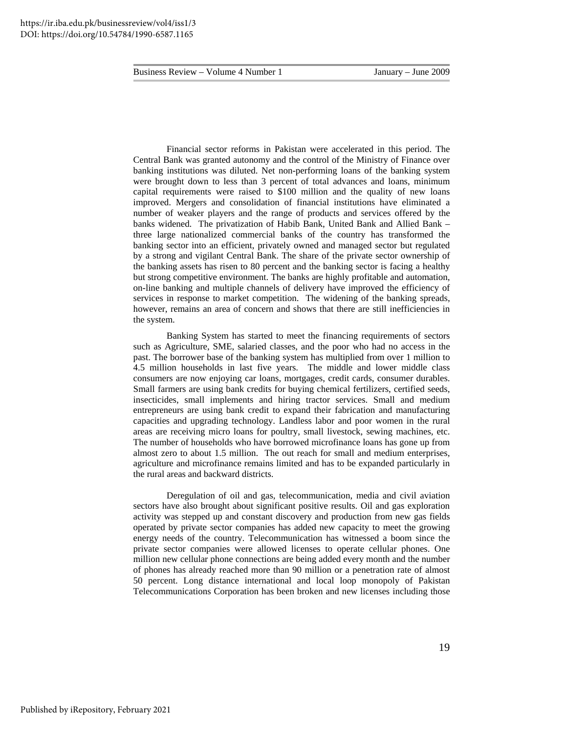Financial sector reforms in Pakistan were accelerated in this period. The Central Bank was granted autonomy and the control of the Ministry of Finance over banking institutions was diluted. Net non-performing loans of the banking system were brought down to less than 3 percent of total advances and loans, minimum capital requirements were raised to \$100 million and the quality of new loans improved. Mergers and consolidation of financial institutions have eliminated a number of weaker players and the range of products and services offered by the banks widened. The privatization of Habib Bank, United Bank and Allied Bank – three large nationalized commercial banks of the country has transformed the banking sector into an efficient, privately owned and managed sector but regulated by a strong and vigilant Central Bank. The share of the private sector ownership of the banking assets has risen to 80 percent and the banking sector is facing a healthy but strong competitive environment. The banks are highly profitable and automation, on-line banking and multiple channels of delivery have improved the efficiency of services in response to market competition. The widening of the banking spreads, however, remains an area of concern and shows that there are still inefficiencies in the system.

Banking System has started to meet the financing requirements of sectors such as Agriculture, SME, salaried classes, and the poor who had no access in the past. The borrower base of the banking system has multiplied from over 1 million to 4.5 million households in last five years. The middle and lower middle class consumers are now enjoying car loans, mortgages, credit cards, consumer durables. Small farmers are using bank credits for buying chemical fertilizers, certified seeds, insecticides, small implements and hiring tractor services. Small and medium entrepreneurs are using bank credit to expand their fabrication and manufacturing capacities and upgrading technology. Landless labor and poor women in the rural areas are receiving micro loans for poultry, small livestock, sewing machines, etc. The number of households who have borrowed microfinance loans has gone up from almost zero to about 1.5 million. The out reach for small and medium enterprises, agriculture and microfinance remains limited and has to be expanded particularly in the rural areas and backward districts.

 Deregulation of oil and gas, telecommunication, media and civil aviation sectors have also brought about significant positive results. Oil and gas exploration activity was stepped up and constant discovery and production from new gas fields operated by private sector companies has added new capacity to meet the growing energy needs of the country. Telecommunication has witnessed a boom since the private sector companies were allowed licenses to operate cellular phones. One million new cellular phone connections are being added every month and the number of phones has already reached more than 90 million or a penetration rate of almost 50 percent. Long distance international and local loop monopoly of Pakistan Telecommunications Corporation has been broken and new licenses including those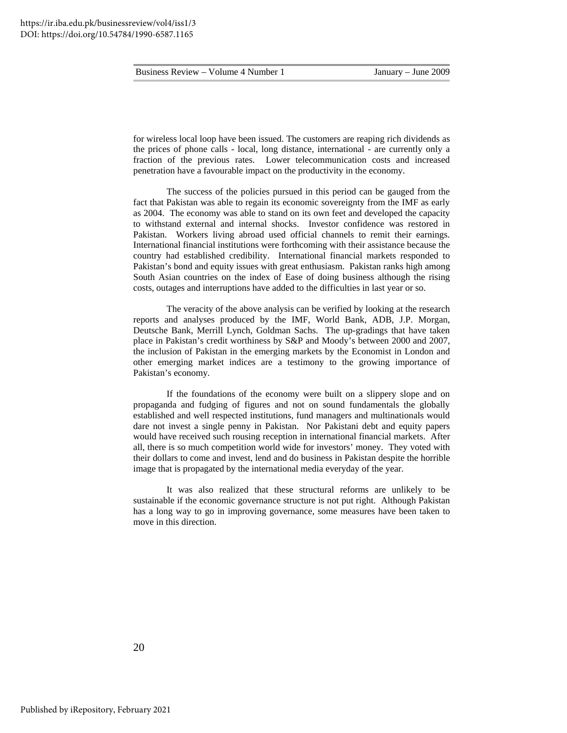for wireless local loop have been issued. The customers are reaping rich dividends as the prices of phone calls - local, long distance, international - are currently only a fraction of the previous rates. Lower telecommunication costs and increased penetration have a favourable impact on the productivity in the economy.

 The success of the policies pursued in this period can be gauged from the fact that Pakistan was able to regain its economic sovereignty from the IMF as early as 2004. The economy was able to stand on its own feet and developed the capacity to withstand external and internal shocks. Investor confidence was restored in Pakistan. Workers living abroad used official channels to remit their earnings. International financial institutions were forthcoming with their assistance because the country had established credibility. International financial markets responded to Pakistan's bond and equity issues with great enthusiasm. Pakistan ranks high among South Asian countries on the index of Ease of doing business although the rising costs, outages and interruptions have added to the difficulties in last year or so.

The veracity of the above analysis can be verified by looking at the research reports and analyses produced by the IMF, World Bank, ADB, J.P. Morgan, Deutsche Bank, Merrill Lynch, Goldman Sachs. The up-gradings that have taken place in Pakistan's credit worthiness by S&P and Moody's between 2000 and 2007, the inclusion of Pakistan in the emerging markets by the Economist in London and other emerging market indices are a testimony to the growing importance of Pakistan's economy.

 If the foundations of the economy were built on a slippery slope and on propaganda and fudging of figures and not on sound fundamentals the globally established and well respected institutions, fund managers and multinationals would dare not invest a single penny in Pakistan. Nor Pakistani debt and equity papers would have received such rousing reception in international financial markets. After all, there is so much competition world wide for investors' money. They voted with their dollars to come and invest, lend and do business in Pakistan despite the horrible image that is propagated by the international media everyday of the year.

 It was also realized that these structural reforms are unlikely to be sustainable if the economic governance structure is not put right. Although Pakistan has a long way to go in improving governance, some measures have been taken to move in this direction.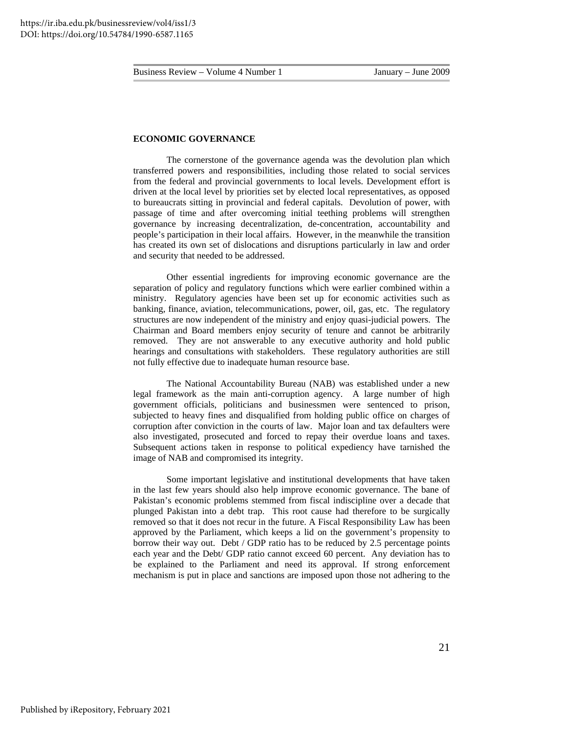#### **ECONOMIC GOVERNANCE**

 The cornerstone of the governance agenda was the devolution plan which transferred powers and responsibilities, including those related to social services from the federal and provincial governments to local levels. Development effort is driven at the local level by priorities set by elected local representatives, as opposed to bureaucrats sitting in provincial and federal capitals. Devolution of power, with passage of time and after overcoming initial teething problems will strengthen governance by increasing decentralization, de-concentration, accountability and people's participation in their local affairs. However, in the meanwhile the transition has created its own set of dislocations and disruptions particularly in law and order and security that needed to be addressed.

 Other essential ingredients for improving economic governance are the separation of policy and regulatory functions which were earlier combined within a ministry. Regulatory agencies have been set up for economic activities such as banking, finance, aviation, telecommunications, power, oil, gas, etc. The regulatory structures are now independent of the ministry and enjoy quasi-judicial powers. The Chairman and Board members enjoy security of tenure and cannot be arbitrarily removed. They are not answerable to any executive authority and hold public hearings and consultations with stakeholders. These regulatory authorities are still not fully effective due to inadequate human resource base.

 The National Accountability Bureau (NAB) was established under a new legal framework as the main anti-corruption agency. A large number of high government officials, politicians and businessmen were sentenced to prison, subjected to heavy fines and disqualified from holding public office on charges of corruption after conviction in the courts of law. Major loan and tax defaulters were also investigated, prosecuted and forced to repay their overdue loans and taxes. Subsequent actions taken in response to political expediency have tarnished the image of NAB and compromised its integrity.

 Some important legislative and institutional developments that have taken in the last few years should also help improve economic governance. The bane of Pakistan's economic problems stemmed from fiscal indiscipline over a decade that plunged Pakistan into a debt trap. This root cause had therefore to be surgically removed so that it does not recur in the future. A Fiscal Responsibility Law has been approved by the Parliament, which keeps a lid on the government's propensity to borrow their way out. Debt / GDP ratio has to be reduced by 2.5 percentage points each year and the Debt/ GDP ratio cannot exceed 60 percent. Any deviation has to be explained to the Parliament and need its approval. If strong enforcement mechanism is put in place and sanctions are imposed upon those not adhering to the

21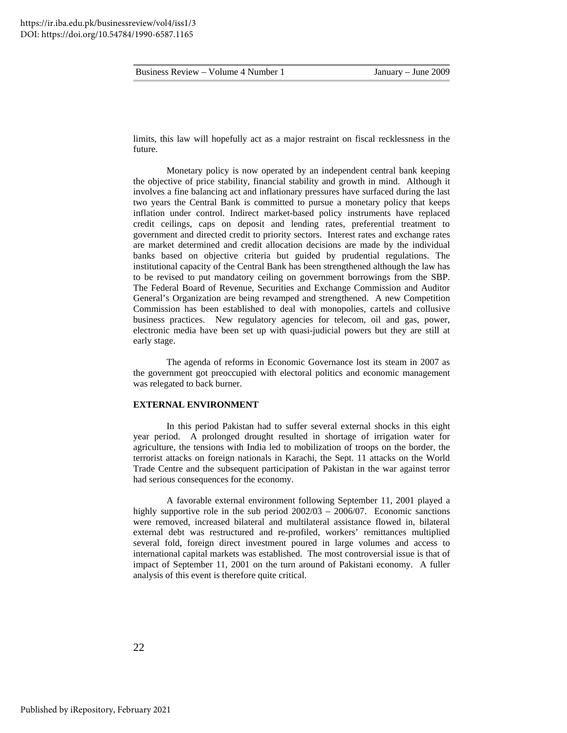limits, this law will hopefully act as a major restraint on fiscal recklessness in the future.

 Monetary policy is now operated by an independent central bank keeping the objective of price stability, financial stability and growth in mind. Although it involves a fine balancing act and inflationary pressures have surfaced during the last two years the Central Bank is committed to pursue a monetary policy that keeps inflation under control. Indirect market-based policy instruments have replaced credit ceilings, caps on deposit and lending rates, preferential treatment to government and directed credit to priority sectors. Interest rates and exchange rates are market determined and credit allocation decisions are made by the individual banks based on objective criteria but guided by prudential regulations. The institutional capacity of the Central Bank has been strengthened although the law has to be revised to put mandatory ceiling on government borrowings from the SBP. The Federal Board of Revenue, Securities and Exchange Commission and Auditor General's Organization are being revamped and strengthened. A new Competition Commission has been established to deal with monopolies, cartels and collusive business practices. New regulatory agencies for telecom, oil and gas, power, electronic media have been set up with quasi-judicial powers but they are still at early stage.

The agenda of reforms in Economic Governance lost its steam in 2007 as the government got preoccupied with electoral politics and economic management was relegated to back burner.

#### **EXTERNAL ENVIRONMENT**

 In this period Pakistan had to suffer several external shocks in this eight year period. A prolonged drought resulted in shortage of irrigation water for agriculture, the tensions with India led to mobilization of troops on the border, the terrorist attacks on foreign nationals in Karachi, the Sept. 11 attacks on the World Trade Centre and the subsequent participation of Pakistan in the war against terror had serious consequences for the economy.

 A favorable external environment following September 11, 2001 played a highly supportive role in the sub period 2002/03 – 2006/07. Economic sanctions were removed, increased bilateral and multilateral assistance flowed in, bilateral external debt was restructured and re-profiled, workers' remittances multiplied several fold, foreign direct investment poured in large volumes and access to international capital markets was established. The most controversial issue is that of impact of September 11, 2001 on the turn around of Pakistani economy. A fuller analysis of this event is therefore quite critical.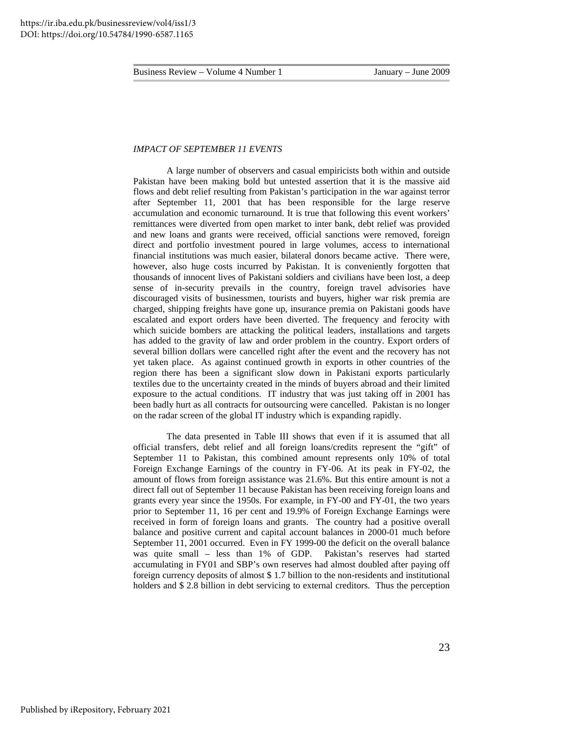#### *IMPACT OF SEPTEMBER 11 EVENTS*

 A large number of observers and casual empiricists both within and outside Pakistan have been making bold but untested assertion that it is the massive aid flows and debt relief resulting from Pakistan's participation in the war against terror after September 11, 2001 that has been responsible for the large reserve accumulation and economic turnaround. It is true that following this event workers' remittances were diverted from open market to inter bank, debt relief was provided and new loans and grants were received, official sanctions were removed, foreign direct and portfolio investment poured in large volumes, access to international financial institutions was much easier, bilateral donors became active. There were, however, also huge costs incurred by Pakistan. It is conveniently forgotten that thousands of innocent lives of Pakistani soldiers and civilians have been lost, a deep sense of in-security prevails in the country, foreign travel advisories have discouraged visits of businessmen, tourists and buyers, higher war risk premia are charged, shipping freights have gone up, insurance premia on Pakistani goods have escalated and export orders have been diverted. The frequency and ferocity with which suicide bombers are attacking the political leaders, installations and targets has added to the gravity of law and order problem in the country. Export orders of several billion dollars were cancelled right after the event and the recovery has not yet taken place. As against continued growth in exports in other countries of the region there has been a significant slow down in Pakistani exports particularly textiles due to the uncertainty created in the minds of buyers abroad and their limited exposure to the actual conditions. IT industry that was just taking off in 2001 has been badly hurt as all contracts for outsourcing were cancelled. Pakistan is no longer on the radar screen of the global IT industry which is expanding rapidly.

 The data presented in Table III shows that even if it is assumed that all official transfers, debt relief and all foreign loans/credits represent the "gift" of September 11 to Pakistan, this combined amount represents only 10% of total Foreign Exchange Earnings of the country in FY-06. At its peak in FY-02, the amount of flows from foreign assistance was 21.6%. But this entire amount is not a direct fall out of September 11 because Pakistan has been receiving foreign loans and grants every year since the 1950s. For example, in FY-00 and FY-01, the two years prior to September 11, 16 per cent and 19.9% of Foreign Exchange Earnings were received in form of foreign loans and grants. The country had a positive overall balance and positive current and capital account balances in 2000-01 much before September 11, 2001 occurred. Even in FY 1999-00 the deficit on the overall balance was quite small – less than 1% of GDP. Pakistan's reserves had started accumulating in FY01 and SBP's own reserves had almost doubled after paying off foreign currency deposits of almost \$ 1.7 billion to the non-residents and institutional holders and \$ 2.8 billion in debt servicing to external creditors. Thus the perception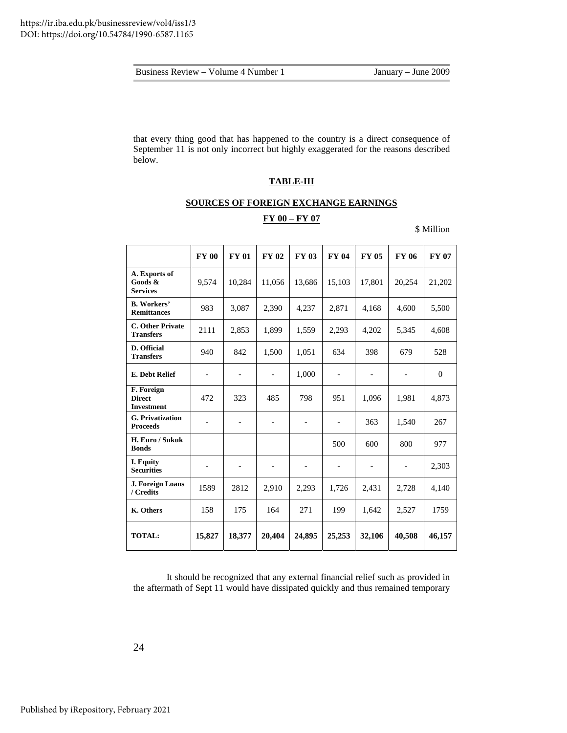| Business Review – Volume 4 Number 1 |
|-------------------------------------|
|                                     |

that every thing good that has happened to the country is a direct consequence of September 11 is not only incorrect but highly exaggerated for the reasons described below.

## **TABLE-III**

#### **SOURCES OF FOREIGN EXCHANGE EARNINGS**

## **FY 00 – FY 07**

\$ Million

|                                                  | <b>FY 00</b>             | <b>FY 01</b>             | <b>FY 02</b>             | <b>FY 03</b>             | <b>FY 04</b>             | <b>FY 05</b>             | <b>FY 06</b>             | <b>FY 07</b> |
|--------------------------------------------------|--------------------------|--------------------------|--------------------------|--------------------------|--------------------------|--------------------------|--------------------------|--------------|
| A. Exports of<br>Goods &<br><b>Services</b>      | 9,574                    | 10,284                   | 11,056                   | 13,686                   | 15,103                   | 17,801                   | 20,254                   | 21,202       |
| <b>B.</b> Workers'<br><b>Remittances</b>         | 983                      | 3,087                    | 2,390                    | 4,237                    | 2,871                    | 4,168                    | 4,600                    | 5,500        |
| C. Other Private<br><b>Transfers</b>             | 2111                     | 2,853                    | 1,899                    | 1,559                    | 2,293                    | 4,202                    | 5,345                    | 4,608        |
| D. Official<br><b>Transfers</b>                  | 940                      | 842                      | 1,500                    | 1,051                    | 634                      | 398                      | 679                      | 528          |
| E. Debt Relief                                   | $\overline{\phantom{a}}$ | $\overline{\phantom{0}}$ | $\overline{\phantom{0}}$ | 1,000                    | $\overline{\phantom{a}}$ | $\qquad \qquad -$        |                          | $\theta$     |
| F. Foreign<br><b>Direct</b><br><b>Investment</b> | 472                      | 323                      | 485                      | 798                      | 951                      | 1,096                    | 1,981                    | 4,873        |
| <b>G.</b> Privatization<br><b>Proceeds</b>       | $\qquad \qquad -$        | $\overline{a}$           | $\overline{\phantom{a}}$ | $\overline{\phantom{0}}$ | $\overline{\phantom{a}}$ | 363                      | 1,540                    | 267          |
| H. Euro / Sukuk<br><b>Bonds</b>                  |                          |                          |                          |                          | 500                      | 600                      | 800                      | 977          |
| I. Equity<br><b>Securities</b>                   | $\overline{\phantom{0}}$ | $\overline{\phantom{a}}$ | $\overline{\phantom{a}}$ | $\overline{\phantom{a}}$ |                          | $\overline{\phantom{a}}$ | $\overline{\phantom{0}}$ | 2,303        |
| J. Foreign Loans<br>/ Credits                    | 1589                     | 2812                     | 2,910                    | 2,293                    | 1,726                    | 2,431                    | 2,728                    | 4,140        |
| K. Others                                        | 158                      | 175                      | 164                      | 271                      | 199                      | 1,642                    | 2,527                    | 1759         |
| <b>TOTAL:</b>                                    | 15,827                   | 18,377                   | 20,404                   | 24,895                   | 25,253                   | 32,106                   | 40,508                   | 46,157       |

It should be recognized that any external financial relief such as provided in the aftermath of Sept 11 would have dissipated quickly and thus remained temporary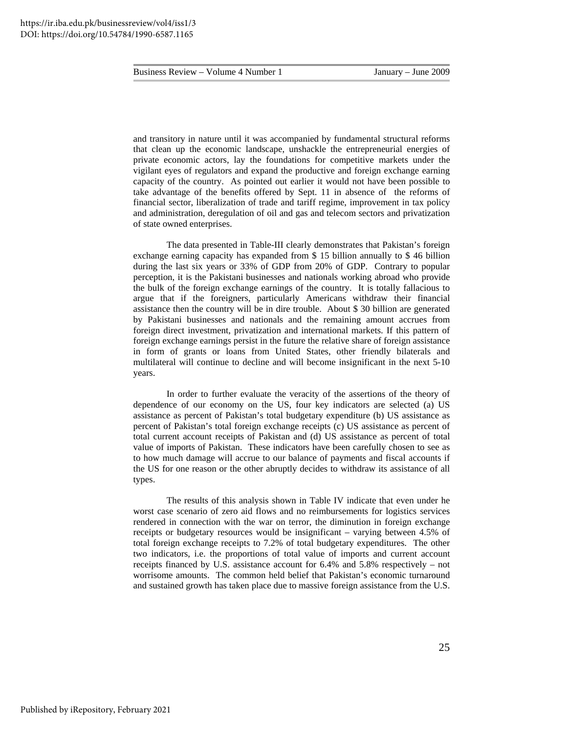and transitory in nature until it was accompanied by fundamental structural reforms that clean up the economic landscape, unshackle the entrepreneurial energies of private economic actors, lay the foundations for competitive markets under the vigilant eyes of regulators and expand the productive and foreign exchange earning capacity of the country. As pointed out earlier it would not have been possible to take advantage of the benefits offered by Sept. 11 in absence of the reforms of financial sector, liberalization of trade and tariff regime, improvement in tax policy and administration, deregulation of oil and gas and telecom sectors and privatization of state owned enterprises.

The data presented in Table-III clearly demonstrates that Pakistan's foreign exchange earning capacity has expanded from \$ 15 billion annually to \$ 46 billion during the last six years or 33% of GDP from 20% of GDP. Contrary to popular perception, it is the Pakistani businesses and nationals working abroad who provide the bulk of the foreign exchange earnings of the country. It is totally fallacious to argue that if the foreigners, particularly Americans withdraw their financial assistance then the country will be in dire trouble. About \$ 30 billion are generated by Pakistani businesses and nationals and the remaining amount accrues from foreign direct investment, privatization and international markets. If this pattern of foreign exchange earnings persist in the future the relative share of foreign assistance in form of grants or loans from United States, other friendly bilaterals and multilateral will continue to decline and will become insignificant in the next 5-10 years.

In order to further evaluate the veracity of the assertions of the theory of dependence of our economy on the US, four key indicators are selected (a) US assistance as percent of Pakistan's total budgetary expenditure (b) US assistance as percent of Pakistan's total foreign exchange receipts (c) US assistance as percent of total current account receipts of Pakistan and (d) US assistance as percent of total value of imports of Pakistan. These indicators have been carefully chosen to see as to how much damage will accrue to our balance of payments and fiscal accounts if the US for one reason or the other abruptly decides to withdraw its assistance of all types.

 The results of this analysis shown in Table IV indicate that even under he worst case scenario of zero aid flows and no reimbursements for logistics services rendered in connection with the war on terror, the diminution in foreign exchange receipts or budgetary resources would be insignificant – varying between 4.5% of total foreign exchange receipts to 7.2% of total budgetary expenditures. The other two indicators, i.e. the proportions of total value of imports and current account receipts financed by U.S. assistance account for 6.4% and 5.8% respectively – not worrisome amounts. The common held belief that Pakistan's economic turnaround and sustained growth has taken place due to massive foreign assistance from the U.S.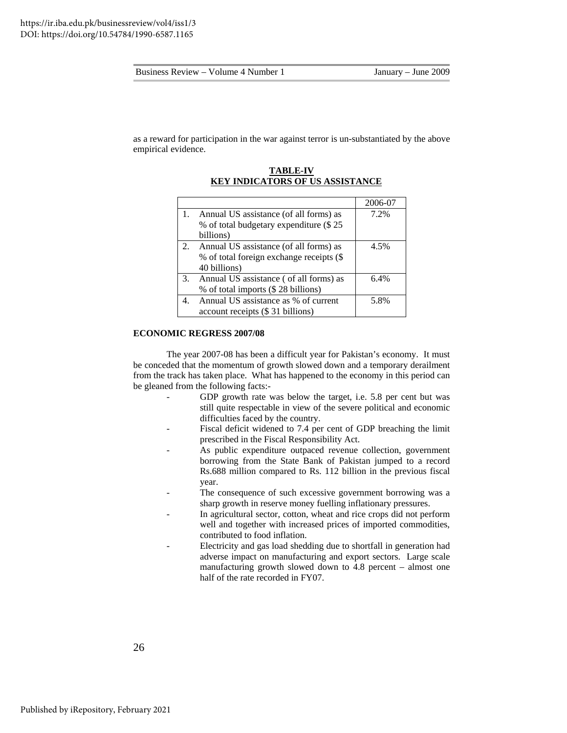as a reward for participation in the war against terror is un-substantiated by the above empirical evidence.

|    |                                           | 2006-07 |
|----|-------------------------------------------|---------|
|    | Annual US assistance (of all forms) as    | 7.2%    |
|    | % of total budgetary expenditure (\$25)   |         |
|    | billions)                                 |         |
| 2. | Annual US assistance (of all forms) as    | 4.5%    |
|    | % of total foreign exchange receipts (\$  |         |
|    | 40 billions)                              |         |
|    | 3. Annual US assistance (of all forms) as | 6.4%    |
|    | % of total imports (\$28 billions)        |         |
|    | Annual US assistance as % of current      | 5.8%    |
|    | account receipts (\$31 billions)          |         |

#### **TABLE-IV KEY INDICATORS OF US ASSISTANCE**

#### **ECONOMIC REGRESS 2007/08**

The year 2007-08 has been a difficult year for Pakistan's economy. It must be conceded that the momentum of growth slowed down and a temporary derailment from the track has taken place. What has happened to the economy in this period can be gleaned from the following facts:-

- GDP growth rate was below the target, i.e. 5.8 per cent but was still quite respectable in view of the severe political and economic difficulties faced by the country.
- Fiscal deficit widened to 7.4 per cent of GDP breaching the limit prescribed in the Fiscal Responsibility Act.
- As public expenditure outpaced revenue collection, government borrowing from the State Bank of Pakistan jumped to a record Rs.688 million compared to Rs. 112 billion in the previous fiscal year.
- The consequence of such excessive government borrowing was a sharp growth in reserve money fuelling inflationary pressures.
- In agricultural sector, cotton, wheat and rice crops did not perform well and together with increased prices of imported commodities, contributed to food inflation.
- Electricity and gas load shedding due to shortfall in generation had adverse impact on manufacturing and export sectors. Large scale manufacturing growth slowed down to 4.8 percent – almost one half of the rate recorded in FY07.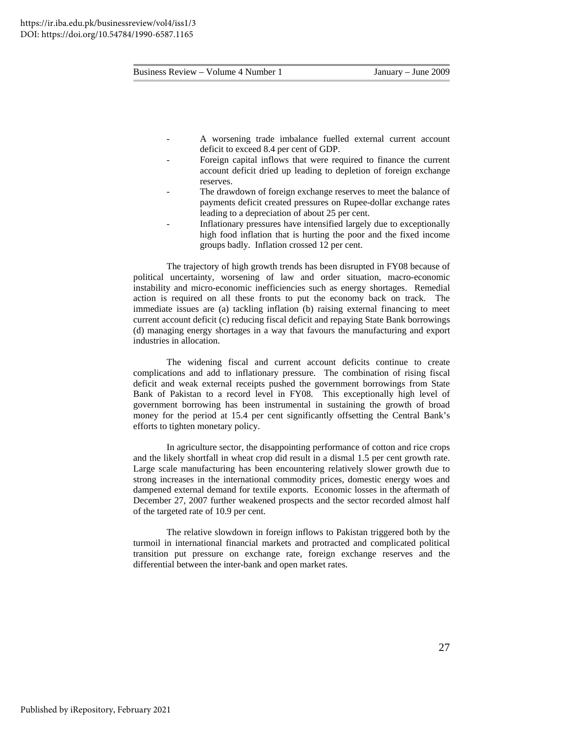- A worsening trade imbalance fuelled external current account deficit to exceed 8.4 per cent of GDP.
- Foreign capital inflows that were required to finance the current account deficit dried up leading to depletion of foreign exchange reserves.
- The drawdown of foreign exchange reserves to meet the balance of payments deficit created pressures on Rupee-dollar exchange rates leading to a depreciation of about 25 per cent.
- Inflationary pressures have intensified largely due to exceptionally high food inflation that is hurting the poor and the fixed income groups badly. Inflation crossed 12 per cent.

The trajectory of high growth trends has been disrupted in FY08 because of political uncertainty, worsening of law and order situation, macro-economic instability and micro-economic inefficiencies such as energy shortages. Remedial action is required on all these fronts to put the economy back on track. The immediate issues are (a) tackling inflation (b) raising external financing to meet current account deficit (c) reducing fiscal deficit and repaying State Bank borrowings (d) managing energy shortages in a way that favours the manufacturing and export industries in allocation.

 The widening fiscal and current account deficits continue to create complications and add to inflationary pressure. The combination of rising fiscal deficit and weak external receipts pushed the government borrowings from State Bank of Pakistan to a record level in FY08. This exceptionally high level of government borrowing has been instrumental in sustaining the growth of broad money for the period at 15.4 per cent significantly offsetting the Central Bank's efforts to tighten monetary policy.

 In agriculture sector, the disappointing performance of cotton and rice crops and the likely shortfall in wheat crop did result in a dismal 1.5 per cent growth rate. Large scale manufacturing has been encountering relatively slower growth due to strong increases in the international commodity prices, domestic energy woes and dampened external demand for textile exports. Economic losses in the aftermath of December 27, 2007 further weakened prospects and the sector recorded almost half of the targeted rate of 10.9 per cent.

 The relative slowdown in foreign inflows to Pakistan triggered both by the turmoil in international financial markets and protracted and complicated political transition put pressure on exchange rate, foreign exchange reserves and the differential between the inter-bank and open market rates.

27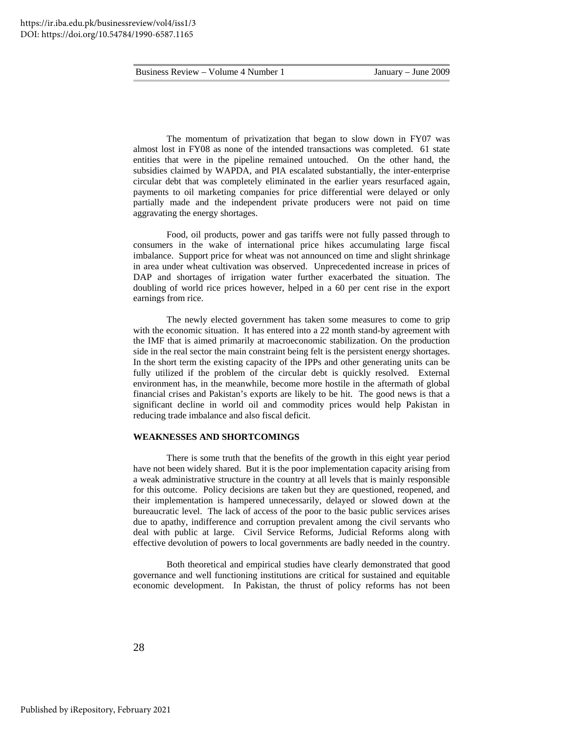The momentum of privatization that began to slow down in FY07 was almost lost in FY08 as none of the intended transactions was completed. 61 state entities that were in the pipeline remained untouched. On the other hand, the subsidies claimed by WAPDA, and PIA escalated substantially, the inter-enterprise circular debt that was completely eliminated in the earlier years resurfaced again, payments to oil marketing companies for price differential were delayed or only partially made and the independent private producers were not paid on time aggravating the energy shortages.

 Food, oil products, power and gas tariffs were not fully passed through to consumers in the wake of international price hikes accumulating large fiscal imbalance. Support price for wheat was not announced on time and slight shrinkage in area under wheat cultivation was observed. Unprecedented increase in prices of DAP and shortages of irrigation water further exacerbated the situation. The doubling of world rice prices however, helped in a 60 per cent rise in the export earnings from rice.

 The newly elected government has taken some measures to come to grip with the economic situation. It has entered into a 22 month stand-by agreement with the IMF that is aimed primarily at macroeconomic stabilization. On the production side in the real sector the main constraint being felt is the persistent energy shortages. In the short term the existing capacity of the IPPs and other generating units can be fully utilized if the problem of the circular debt is quickly resolved. External environment has, in the meanwhile, become more hostile in the aftermath of global financial crises and Pakistan's exports are likely to be hit. The good news is that a significant decline in world oil and commodity prices would help Pakistan in reducing trade imbalance and also fiscal deficit.

#### **WEAKNESSES AND SHORTCOMINGS**

 There is some truth that the benefits of the growth in this eight year period have not been widely shared. But it is the poor implementation capacity arising from a weak administrative structure in the country at all levels that is mainly responsible for this outcome. Policy decisions are taken but they are questioned, reopened, and their implementation is hampered unnecessarily, delayed or slowed down at the bureaucratic level. The lack of access of the poor to the basic public services arises due to apathy, indifference and corruption prevalent among the civil servants who deal with public at large. Civil Service Reforms, Judicial Reforms along with effective devolution of powers to local governments are badly needed in the country.

Both theoretical and empirical studies have clearly demonstrated that good governance and well functioning institutions are critical for sustained and equitable economic development. In Pakistan, the thrust of policy reforms has not been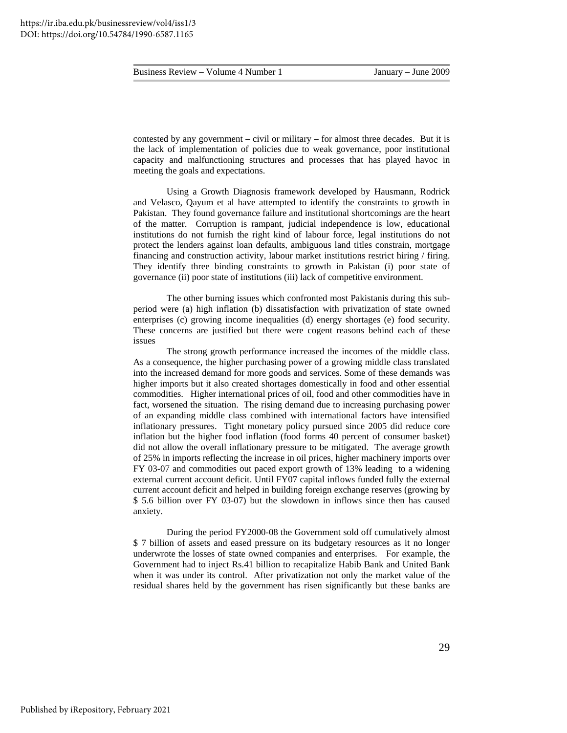contested by any government – civil or military – for almost three decades. But it is the lack of implementation of policies due to weak governance, poor institutional capacity and malfunctioning structures and processes that has played havoc in meeting the goals and expectations.

 Using a Growth Diagnosis framework developed by Hausmann, Rodrick and Velasco, Qayum et al have attempted to identify the constraints to growth in Pakistan. They found governance failure and institutional shortcomings are the heart of the matter. Corruption is rampant, judicial independence is low, educational institutions do not furnish the right kind of labour force, legal institutions do not protect the lenders against loan defaults, ambiguous land titles constrain, mortgage financing and construction activity, labour market institutions restrict hiring / firing. They identify three binding constraints to growth in Pakistan (i) poor state of governance (ii) poor state of institutions (iii) lack of competitive environment.

 The other burning issues which confronted most Pakistanis during this subperiod were (a) high inflation (b) dissatisfaction with privatization of state owned enterprises (c) growing income inequalities (d) energy shortages (e) food security. These concerns are justified but there were cogent reasons behind each of these issues

The strong growth performance increased the incomes of the middle class. As a consequence, the higher purchasing power of a growing middle class translated into the increased demand for more goods and services. Some of these demands was higher imports but it also created shortages domestically in food and other essential commodities. Higher international prices of oil, food and other commodities have in fact, worsened the situation. The rising demand due to increasing purchasing power of an expanding middle class combined with international factors have intensified inflationary pressures. Tight monetary policy pursued since 2005 did reduce core inflation but the higher food inflation (food forms 40 percent of consumer basket) did not allow the overall inflationary pressure to be mitigated. The average growth of 25% in imports reflecting the increase in oil prices, higher machinery imports over FY 03-07 and commodities out paced export growth of 13% leading to a widening external current account deficit. Until FY07 capital inflows funded fully the external current account deficit and helped in building foreign exchange reserves (growing by \$ 5.6 billion over FY 03-07) but the slowdown in inflows since then has caused anxiety.

 During the period FY2000-08 the Government sold off cumulatively almost \$ 7 billion of assets and eased pressure on its budgetary resources as it no longer underwrote the losses of state owned companies and enterprises. For example, the Government had to inject Rs.41 billion to recapitalize Habib Bank and United Bank when it was under its control. After privatization not only the market value of the residual shares held by the government has risen significantly but these banks are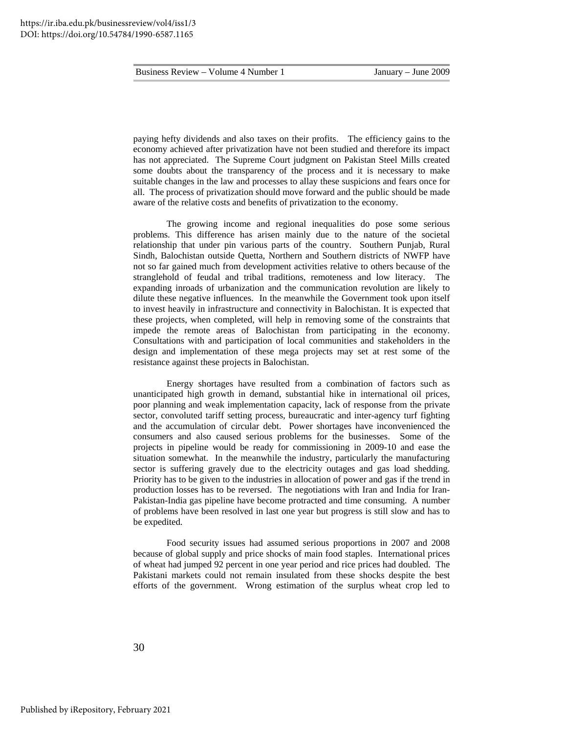paying hefty dividends and also taxes on their profits. The efficiency gains to the economy achieved after privatization have not been studied and therefore its impact has not appreciated. The Supreme Court judgment on Pakistan Steel Mills created some doubts about the transparency of the process and it is necessary to make suitable changes in the law and processes to allay these suspicions and fears once for all. The process of privatization should move forward and the public should be made aware of the relative costs and benefits of privatization to the economy.

 The growing income and regional inequalities do pose some serious problems. This difference has arisen mainly due to the nature of the societal relationship that under pin various parts of the country. Southern Punjab, Rural Sindh, Balochistan outside Quetta, Northern and Southern districts of NWFP have not so far gained much from development activities relative to others because of the stranglehold of feudal and tribal traditions, remoteness and low literacy. The expanding inroads of urbanization and the communication revolution are likely to dilute these negative influences. In the meanwhile the Government took upon itself to invest heavily in infrastructure and connectivity in Balochistan. It is expected that these projects, when completed, will help in removing some of the constraints that impede the remote areas of Balochistan from participating in the economy. Consultations with and participation of local communities and stakeholders in the design and implementation of these mega projects may set at rest some of the resistance against these projects in Balochistan.

 Energy shortages have resulted from a combination of factors such as unanticipated high growth in demand, substantial hike in international oil prices, poor planning and weak implementation capacity, lack of response from the private sector, convoluted tariff setting process, bureaucratic and inter-agency turf fighting and the accumulation of circular debt. Power shortages have inconvenienced the consumers and also caused serious problems for the businesses. Some of the projects in pipeline would be ready for commissioning in 2009-10 and ease the situation somewhat. In the meanwhile the industry, particularly the manufacturing sector is suffering gravely due to the electricity outages and gas load shedding. Priority has to be given to the industries in allocation of power and gas if the trend in production losses has to be reversed. The negotiations with Iran and India for Iran-Pakistan-India gas pipeline have become protracted and time consuming. A number of problems have been resolved in last one year but progress is still slow and has to be expedited.

 Food security issues had assumed serious proportions in 2007 and 2008 because of global supply and price shocks of main food staples. International prices of wheat had jumped 92 percent in one year period and rice prices had doubled. The Pakistani markets could not remain insulated from these shocks despite the best efforts of the government. Wrong estimation of the surplus wheat crop led to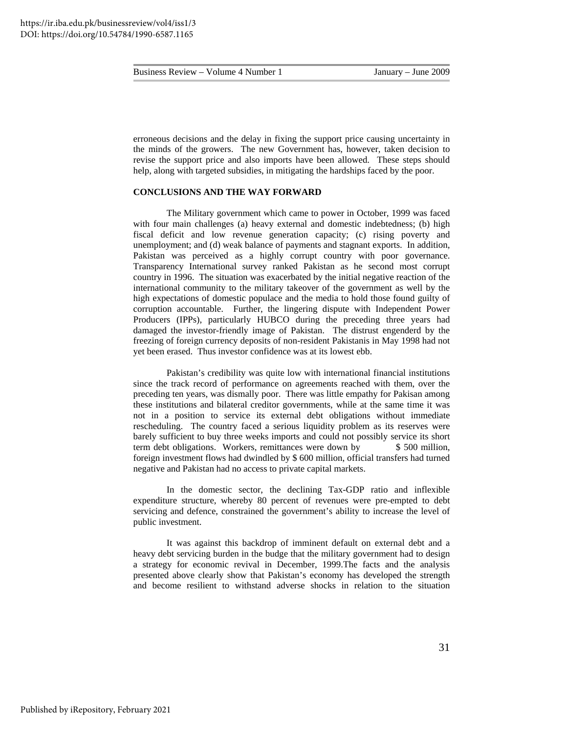erroneous decisions and the delay in fixing the support price causing uncertainty in the minds of the growers. The new Government has, however, taken decision to revise the support price and also imports have been allowed. These steps should help, along with targeted subsidies, in mitigating the hardships faced by the poor.

#### **CONCLUSIONS AND THE WAY FORWARD**

 The Military government which came to power in October, 1999 was faced with four main challenges (a) heavy external and domestic indebtedness; (b) high fiscal deficit and low revenue generation capacity; (c) rising poverty and unemployment; and (d) weak balance of payments and stagnant exports. In addition, Pakistan was perceived as a highly corrupt country with poor governance. Transparency International survey ranked Pakistan as he second most corrupt country in 1996. The situation was exacerbated by the initial negative reaction of the international community to the military takeover of the government as well by the high expectations of domestic populace and the media to hold those found guilty of corruption accountable. Further, the lingering dispute with Independent Power Producers (IPPs), particularly HUBCO during the preceding three years had damaged the investor-friendly image of Pakistan. The distrust engenderd by the freezing of foreign currency deposits of non-resident Pakistanis in May 1998 had not yet been erased. Thus investor confidence was at its lowest ebb.

 Pakistan's credibility was quite low with international financial institutions since the track record of performance on agreements reached with them, over the preceding ten years, was dismally poor. There was little empathy for Pakisan among these institutions and bilateral creditor governments, while at the same time it was not in a position to service its external debt obligations without immediate rescheduling. The country faced a serious liquidity problem as its reserves were barely sufficient to buy three weeks imports and could not possibly service its short term debt obligations. Workers, remittances were down by \$500 million, foreign investment flows had dwindled by \$ 600 million, official transfers had turned negative and Pakistan had no access to private capital markets.

 In the domestic sector, the declining Tax-GDP ratio and inflexible expenditure structure, whereby 80 percent of revenues were pre-empted to debt servicing and defence, constrained the government's ability to increase the level of public investment.

 It was against this backdrop of imminent default on external debt and a heavy debt servicing burden in the budge that the military government had to design a strategy for economic revival in December, 1999.The facts and the analysis presented above clearly show that Pakistan's economy has developed the strength and become resilient to withstand adverse shocks in relation to the situation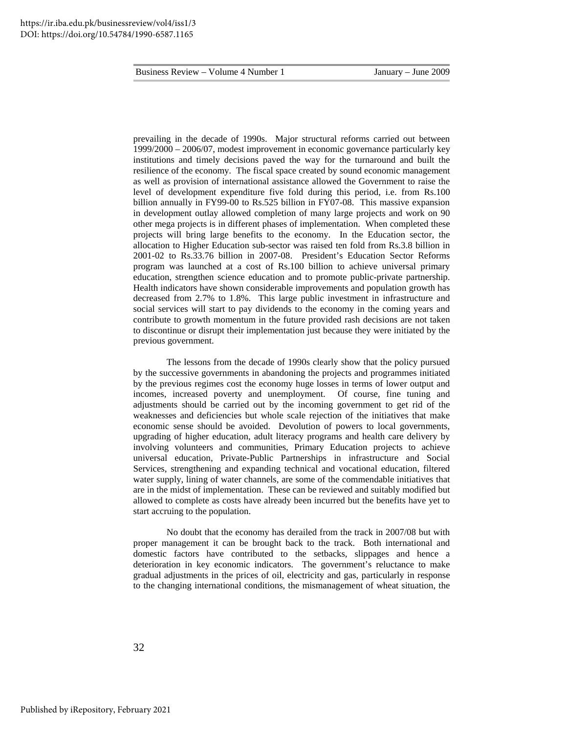prevailing in the decade of 1990s. Major structural reforms carried out between 1999/2000 – 2006/07, modest improvement in economic governance particularly key institutions and timely decisions paved the way for the turnaround and built the resilience of the economy. The fiscal space created by sound economic management as well as provision of international assistance allowed the Government to raise the level of development expenditure five fold during this period, i.e. from Rs.100 billion annually in FY99-00 to Rs.525 billion in FY07-08. This massive expansion in development outlay allowed completion of many large projects and work on 90 other mega projects is in different phases of implementation. When completed these projects will bring large benefits to the economy. In the Education sector, the allocation to Higher Education sub-sector was raised ten fold from Rs.3.8 billion in 2001-02 to Rs.33.76 billion in 2007-08. President's Education Sector Reforms program was launched at a cost of Rs.100 billion to achieve universal primary education, strengthen science education and to promote public-private partnership. Health indicators have shown considerable improvements and population growth has decreased from 2.7% to 1.8%. This large public investment in infrastructure and social services will start to pay dividends to the economy in the coming years and contribute to growth momentum in the future provided rash decisions are not taken to discontinue or disrupt their implementation just because they were initiated by the previous government.

 The lessons from the decade of 1990s clearly show that the policy pursued by the successive governments in abandoning the projects and programmes initiated by the previous regimes cost the economy huge losses in terms of lower output and incomes, increased poverty and unemployment. Of course, fine tuning and adjustments should be carried out by the incoming government to get rid of the weaknesses and deficiencies but whole scale rejection of the initiatives that make economic sense should be avoided. Devolution of powers to local governments, upgrading of higher education, adult literacy programs and health care delivery by involving volunteers and communities, Primary Education projects to achieve universal education, Private-Public Partnerships in infrastructure and Social Services, strengthening and expanding technical and vocational education, filtered water supply, lining of water channels, are some of the commendable initiatives that are in the midst of implementation. These can be reviewed and suitably modified but allowed to complete as costs have already been incurred but the benefits have yet to start accruing to the population.

 No doubt that the economy has derailed from the track in 2007/08 but with proper management it can be brought back to the track. Both international and domestic factors have contributed to the setbacks, slippages and hence a deterioration in key economic indicators. The government's reluctance to make gradual adjustments in the prices of oil, electricity and gas, particularly in response to the changing international conditions, the mismanagement of wheat situation, the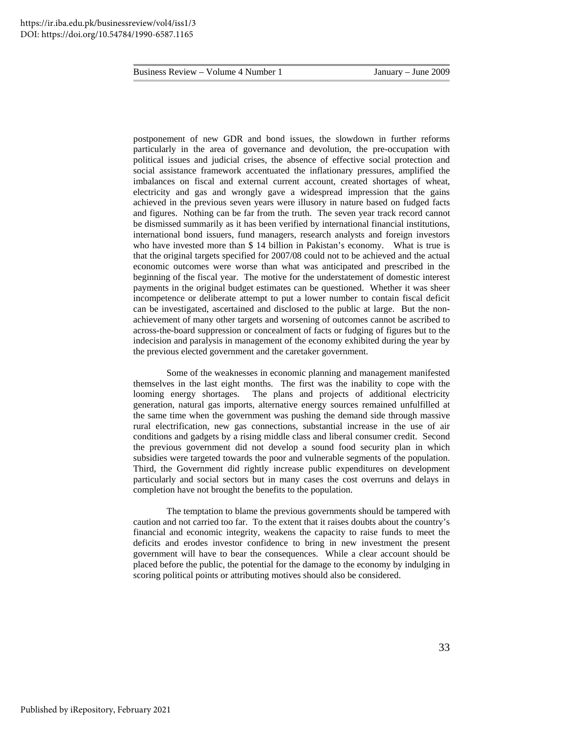postponement of new GDR and bond issues, the slowdown in further reforms particularly in the area of governance and devolution, the pre-occupation with political issues and judicial crises, the absence of effective social protection and social assistance framework accentuated the inflationary pressures, amplified the imbalances on fiscal and external current account, created shortages of wheat, electricity and gas and wrongly gave a widespread impression that the gains achieved in the previous seven years were illusory in nature based on fudged facts and figures. Nothing can be far from the truth. The seven year track record cannot be dismissed summarily as it has been verified by international financial institutions, international bond issuers, fund managers, research analysts and foreign investors who have invested more than \$ 14 billion in Pakistan's economy. What is true is that the original targets specified for 2007/08 could not to be achieved and the actual economic outcomes were worse than what was anticipated and prescribed in the beginning of the fiscal year. The motive for the understatement of domestic interest payments in the original budget estimates can be questioned. Whether it was sheer incompetence or deliberate attempt to put a lower number to contain fiscal deficit can be investigated, ascertained and disclosed to the public at large. But the nonachievement of many other targets and worsening of outcomes cannot be ascribed to across-the-board suppression or concealment of facts or fudging of figures but to the indecision and paralysis in management of the economy exhibited during the year by the previous elected government and the caretaker government.

 Some of the weaknesses in economic planning and management manifested themselves in the last eight months. The first was the inability to cope with the looming energy shortages. The plans and projects of additional electricity generation, natural gas imports, alternative energy sources remained unfulfilled at the same time when the government was pushing the demand side through massive rural electrification, new gas connections, substantial increase in the use of air conditions and gadgets by a rising middle class and liberal consumer credit. Second the previous government did not develop a sound food security plan in which subsidies were targeted towards the poor and vulnerable segments of the population. Third, the Government did rightly increase public expenditures on development particularly and social sectors but in many cases the cost overruns and delays in completion have not brought the benefits to the population.

 The temptation to blame the previous governments should be tampered with caution and not carried too far. To the extent that it raises doubts about the country's financial and economic integrity, weakens the capacity to raise funds to meet the deficits and erodes investor confidence to bring in new investment the present government will have to bear the consequences. While a clear account should be placed before the public, the potential for the damage to the economy by indulging in scoring political points or attributing motives should also be considered.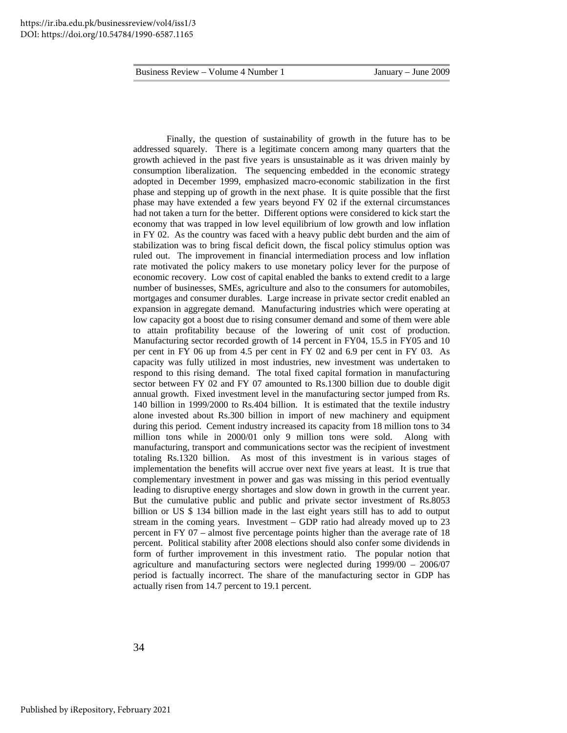Finally, the question of sustainability of growth in the future has to be addressed squarely. There is a legitimate concern among many quarters that the growth achieved in the past five years is unsustainable as it was driven mainly by consumption liberalization. The sequencing embedded in the economic strategy adopted in December 1999, emphasized macro-economic stabilization in the first phase and stepping up of growth in the next phase. It is quite possible that the first phase may have extended a few years beyond FY 02 if the external circumstances had not taken a turn for the better. Different options were considered to kick start the economy that was trapped in low level equilibrium of low growth and low inflation in FY 02. As the country was faced with a heavy public debt burden and the aim of stabilization was to bring fiscal deficit down, the fiscal policy stimulus option was ruled out. The improvement in financial intermediation process and low inflation rate motivated the policy makers to use monetary policy lever for the purpose of economic recovery. Low cost of capital enabled the banks to extend credit to a large number of businesses, SMEs, agriculture and also to the consumers for automobiles, mortgages and consumer durables. Large increase in private sector credit enabled an expansion in aggregate demand. Manufacturing industries which were operating at low capacity got a boost due to rising consumer demand and some of them were able to attain profitability because of the lowering of unit cost of production. Manufacturing sector recorded growth of 14 percent in FY04, 15.5 in FY05 and 10 per cent in FY 06 up from 4.5 per cent in FY 02 and 6.9 per cent in FY 03. As capacity was fully utilized in most industries, new investment was undertaken to respond to this rising demand. The total fixed capital formation in manufacturing sector between FY 02 and FY 07 amounted to Rs.1300 billion due to double digit annual growth. Fixed investment level in the manufacturing sector jumped from Rs. 140 billion in 1999/2000 to Rs.404 billion. It is estimated that the textile industry alone invested about Rs.300 billion in import of new machinery and equipment during this period. Cement industry increased its capacity from 18 million tons to 34 million tons while in 2000/01 only 9 million tons were sold. Along with manufacturing, transport and communications sector was the recipient of investment totaling Rs.1320 billion. As most of this investment is in various stages of implementation the benefits will accrue over next five years at least. It is true that complementary investment in power and gas was missing in this period eventually leading to disruptive energy shortages and slow down in growth in the current year. But the cumulative public and public and private sector investment of Rs.8053 billion or US \$ 134 billion made in the last eight years still has to add to output stream in the coming years. Investment – GDP ratio had already moved up to 23 percent in FY 07 – almost five percentage points higher than the average rate of 18 percent. Political stability after 2008 elections should also confer some dividends in form of further improvement in this investment ratio. The popular notion that agriculture and manufacturing sectors were neglected during 1999/00 – 2006/07 period is factually incorrect. The share of the manufacturing sector in GDP has actually risen from 14.7 percent to 19.1 percent.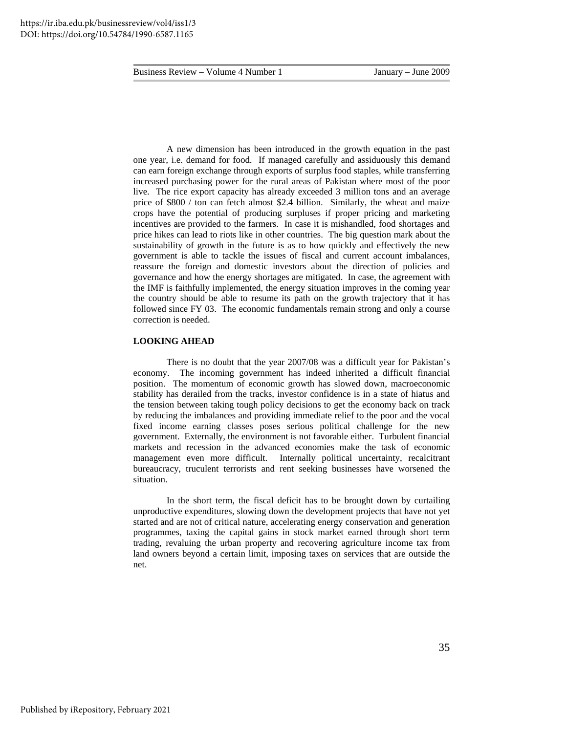A new dimension has been introduced in the growth equation in the past one year, i.e. demand for food. If managed carefully and assiduously this demand can earn foreign exchange through exports of surplus food staples, while transferring increased purchasing power for the rural areas of Pakistan where most of the poor live. The rice export capacity has already exceeded 3 million tons and an average price of \$800 / ton can fetch almost \$2.4 billion. Similarly, the wheat and maize crops have the potential of producing surpluses if proper pricing and marketing incentives are provided to the farmers. In case it is mishandled, food shortages and price hikes can lead to riots like in other countries. The big question mark about the sustainability of growth in the future is as to how quickly and effectively the new government is able to tackle the issues of fiscal and current account imbalances, reassure the foreign and domestic investors about the direction of policies and governance and how the energy shortages are mitigated. In case, the agreement with the IMF is faithfully implemented, the energy situation improves in the coming year the country should be able to resume its path on the growth trajectory that it has followed since FY 03. The economic fundamentals remain strong and only a course correction is needed.

#### **LOOKING AHEAD**

 There is no doubt that the year 2007/08 was a difficult year for Pakistan's economy. The incoming government has indeed inherited a difficult financial position. The momentum of economic growth has slowed down, macroeconomic stability has derailed from the tracks, investor confidence is in a state of hiatus and the tension between taking tough policy decisions to get the economy back on track by reducing the imbalances and providing immediate relief to the poor and the vocal fixed income earning classes poses serious political challenge for the new government. Externally, the environment is not favorable either. Turbulent financial markets and recession in the advanced economies make the task of economic management even more difficult. Internally political uncertainty, recalcitrant bureaucracy, truculent terrorists and rent seeking businesses have worsened the situation.

 In the short term, the fiscal deficit has to be brought down by curtailing unproductive expenditures, slowing down the development projects that have not yet started and are not of critical nature, accelerating energy conservation and generation programmes, taxing the capital gains in stock market earned through short term trading, revaluing the urban property and recovering agriculture income tax from land owners beyond a certain limit, imposing taxes on services that are outside the net.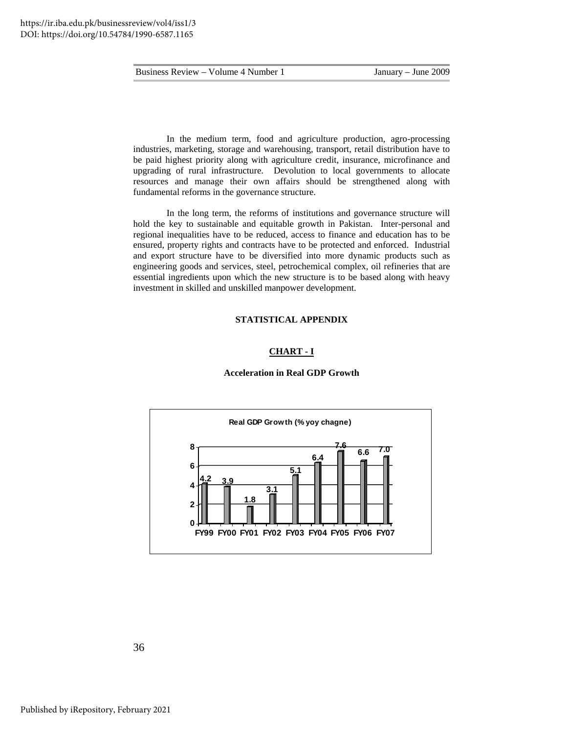In the medium term, food and agriculture production, agro-processing industries, marketing, storage and warehousing, transport, retail distribution have to be paid highest priority along with agriculture credit, insurance, microfinance and upgrading of rural infrastructure. Devolution to local governments to allocate resources and manage their own affairs should be strengthened along with fundamental reforms in the governance structure.

 In the long term, the reforms of institutions and governance structure will hold the key to sustainable and equitable growth in Pakistan. Inter-personal and regional inequalities have to be reduced, access to finance and education has to be ensured, property rights and contracts have to be protected and enforced. Industrial and export structure have to be diversified into more dynamic products such as engineering goods and services, steel, petrochemical complex, oil refineries that are essential ingredients upon which the new structure is to be based along with heavy investment in skilled and unskilled manpower development.

#### **STATISTICAL APPENDIX**

#### **CHART - I**



#### **Acceleration in Real GDP Growth**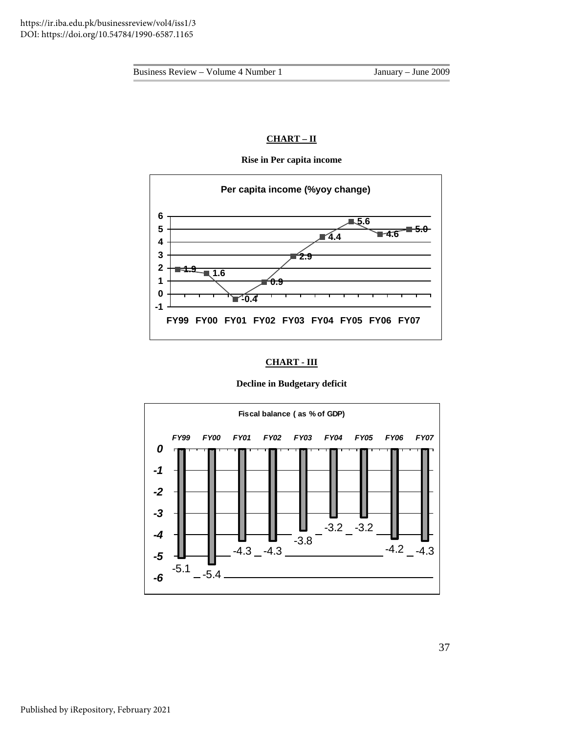## **CHART – II**



**Rise in Per capita income** 

## **CHART - III**

#### **Decline in Budgetary deficit**

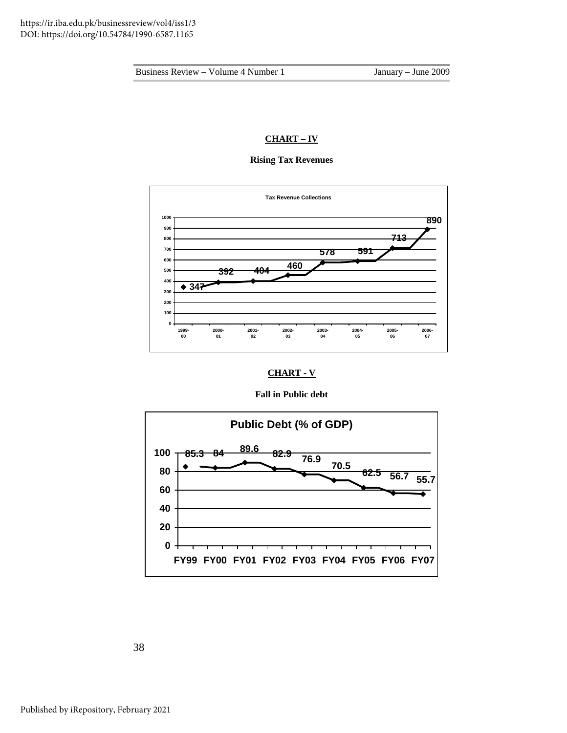## **CHART – IV**

## **Rising Tax Revenues**



## **CHART - V**

#### **Fall in Public debt**



38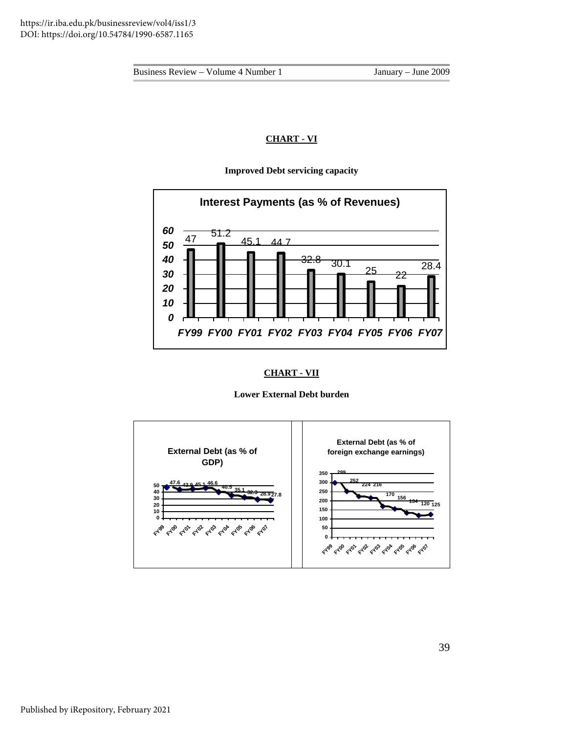## **CHART - VI**

## **Improved Debt servicing capacity**



## **CHART - VII**

## **Lower External Debt burden**

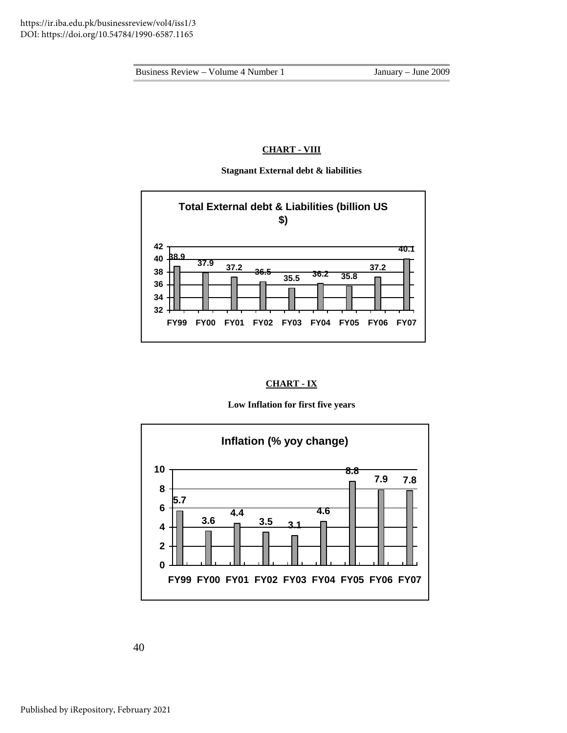## **CHART - VIII**

#### **Stagnant External debt & liabilities**



## **CHART - IX**

## **Low Inflation for first five years**



40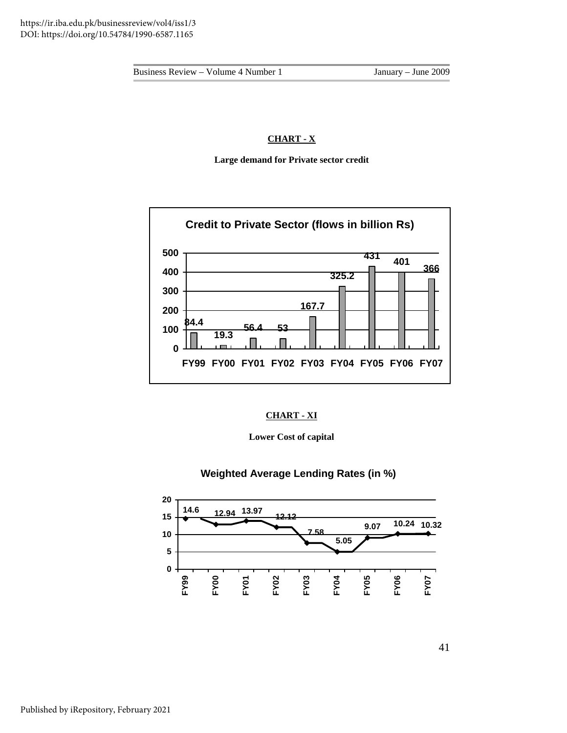## **CHART - X**

**Large demand for Private sector credit** 



## **CHART - XI**

**Lower Cost of capital** 

**Weighted Average Lending Rates (in %)**

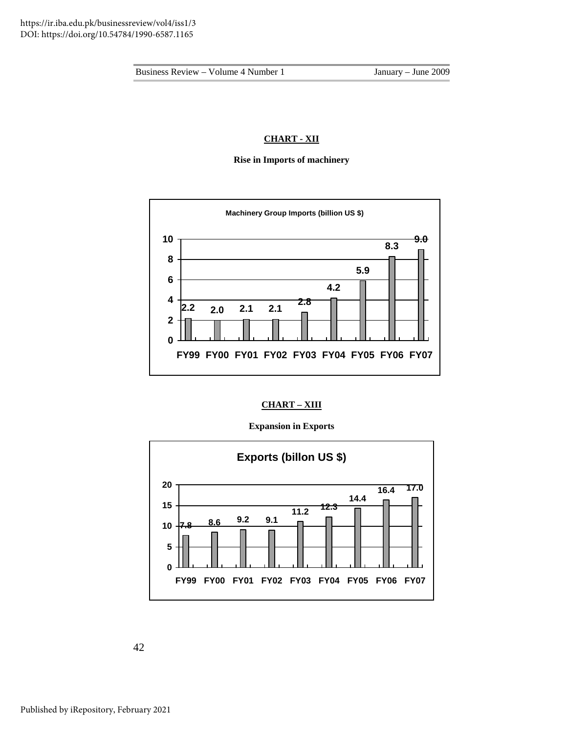## **CHART - XII**

**Rise in Imports of machinery** 



**CHART – XIII**

#### **Expansion in Exports**



42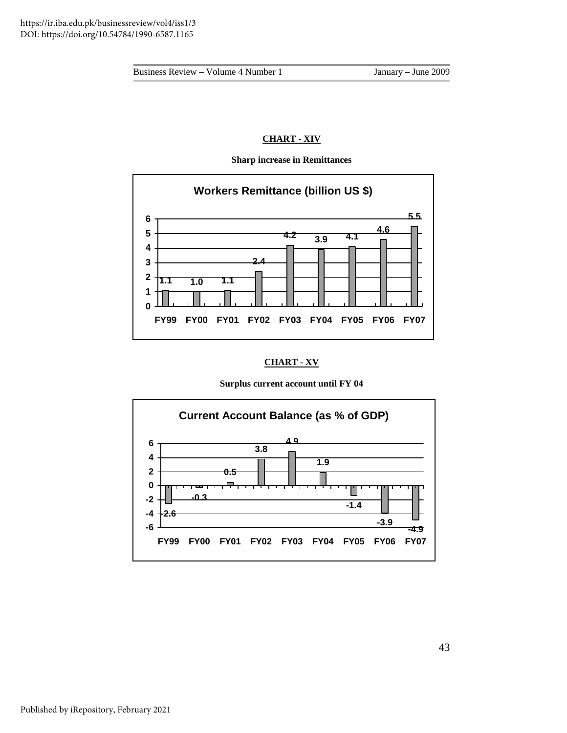## **CHART - XIV**



**Sharp increase in Remittances** 

## **CHART - XV**

#### **Surplus current account until FY 04**

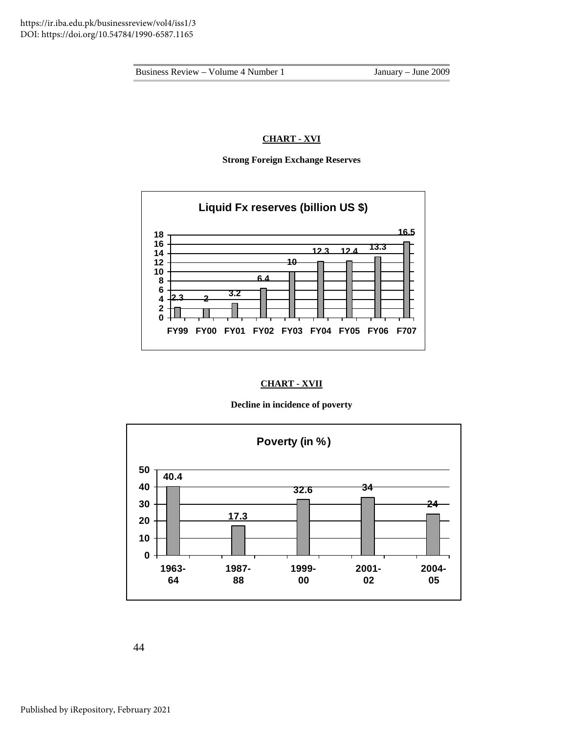## **CHART - XVI**

**Strong Foreign Exchange Reserves** 



## **CHART - XVII**

#### **Decline in incidence of poverty**



44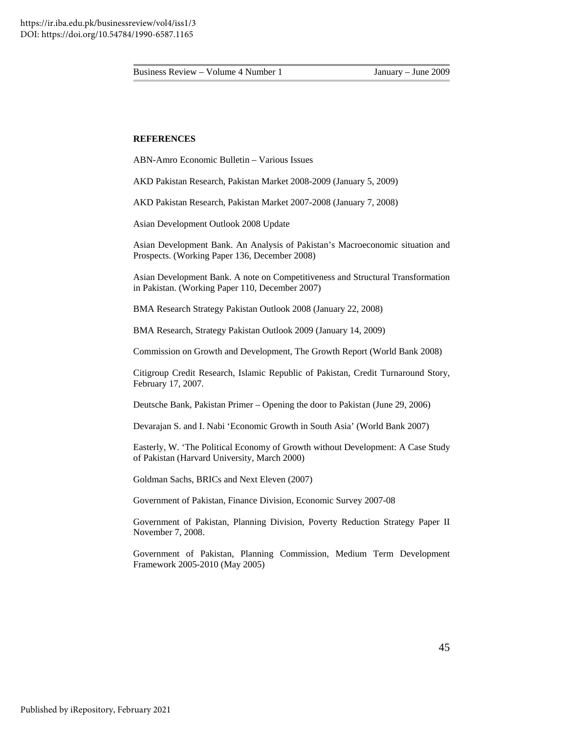#### **REFERENCES**

ABN-Amro Economic Bulletin – Various Issues

AKD Pakistan Research, Pakistan Market 2008-2009 (January 5, 2009)

AKD Pakistan Research, Pakistan Market 2007-2008 (January 7, 2008)

Asian Development Outlook 2008 Update

Asian Development Bank. An Analysis of Pakistan's Macroeconomic situation and Prospects. (Working Paper 136, December 2008)

Asian Development Bank. A note on Competitiveness and Structural Transformation in Pakistan. (Working Paper 110, December 2007)

BMA Research Strategy Pakistan Outlook 2008 (January 22, 2008)

BMA Research, Strategy Pakistan Outlook 2009 (January 14, 2009)

Commission on Growth and Development, The Growth Report (World Bank 2008)

Citigroup Credit Research, Islamic Republic of Pakistan, Credit Turnaround Story, February 17, 2007.

Deutsche Bank, Pakistan Primer – Opening the door to Pakistan (June 29, 2006)

Devarajan S. and I. Nabi 'Economic Growth in South Asia' (World Bank 2007)

Easterly, W. 'The Political Economy of Growth without Development: A Case Study of Pakistan (Harvard University, March 2000)

Goldman Sachs, BRICs and Next Eleven (2007)

Government of Pakistan, Finance Division, Economic Survey 2007-08

Government of Pakistan, Planning Division, Poverty Reduction Strategy Paper II November 7, 2008.

Government of Pakistan, Planning Commission, Medium Term Development Framework 2005-2010 (May 2005)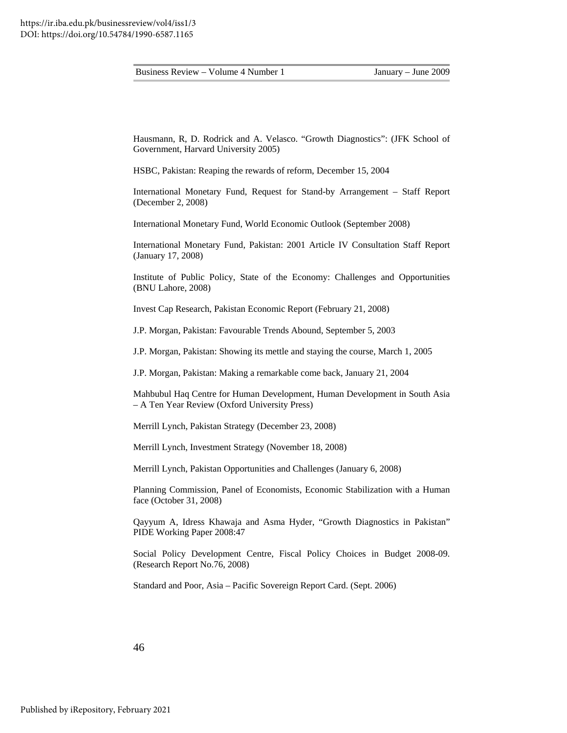Hausmann, R, D. Rodrick and A. Velasco. "Growth Diagnostics": (JFK School of Government, Harvard University 2005)

HSBC, Pakistan: Reaping the rewards of reform, December 15, 2004

International Monetary Fund, Request for Stand-by Arrangement – Staff Report (December 2, 2008)

International Monetary Fund, World Economic Outlook (September 2008)

International Monetary Fund, Pakistan: 2001 Article IV Consultation Staff Report (January 17, 2008)

Institute of Public Policy, State of the Economy: Challenges and Opportunities (BNU Lahore, 2008)

Invest Cap Research, Pakistan Economic Report (February 21, 2008)

J.P. Morgan, Pakistan: Favourable Trends Abound, September 5, 2003

J.P. Morgan, Pakistan: Showing its mettle and staying the course, March 1, 2005

J.P. Morgan, Pakistan: Making a remarkable come back, January 21, 2004

Mahbubul Haq Centre for Human Development, Human Development in South Asia – A Ten Year Review (Oxford University Press)

Merrill Lynch, Pakistan Strategy (December 23, 2008)

Merrill Lynch, Investment Strategy (November 18, 2008)

Merrill Lynch, Pakistan Opportunities and Challenges (January 6, 2008)

Planning Commission, Panel of Economists, Economic Stabilization with a Human face (October 31, 2008)

Qayyum A, Idress Khawaja and Asma Hyder, "Growth Diagnostics in Pakistan" PIDE Working Paper 2008:47

Social Policy Development Centre, Fiscal Policy Choices in Budget 2008-09. (Research Report No.76, 2008)

Standard and Poor, Asia – Pacific Sovereign Report Card. (Sept. 2006)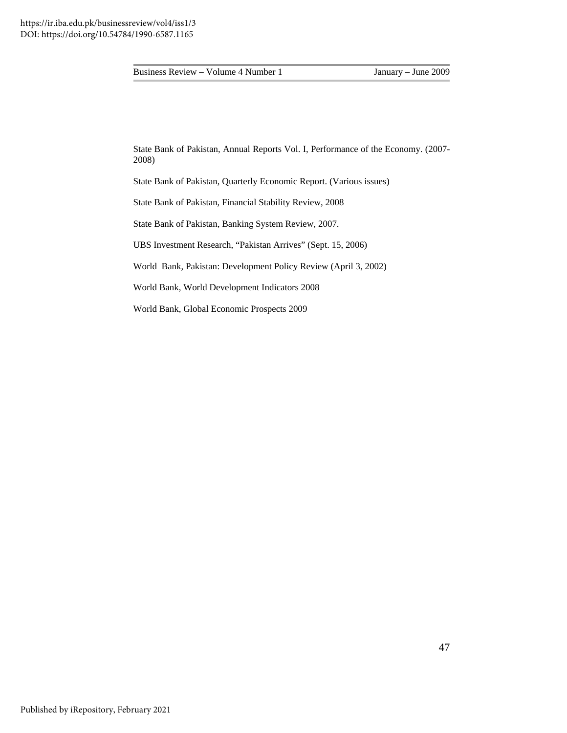State Bank of Pakistan, Annual Reports Vol. I, Performance of the Economy. (2007- 2008)

State Bank of Pakistan, Quarterly Economic Report. (Various issues)

State Bank of Pakistan, Financial Stability Review, 2008

State Bank of Pakistan, Banking System Review, 2007.

UBS Investment Research, "Pakistan Arrives" (Sept. 15, 2006)

World Bank, Pakistan: Development Policy Review (April 3, 2002)

World Bank, World Development Indicators 2008

World Bank, Global Economic Prospects 2009